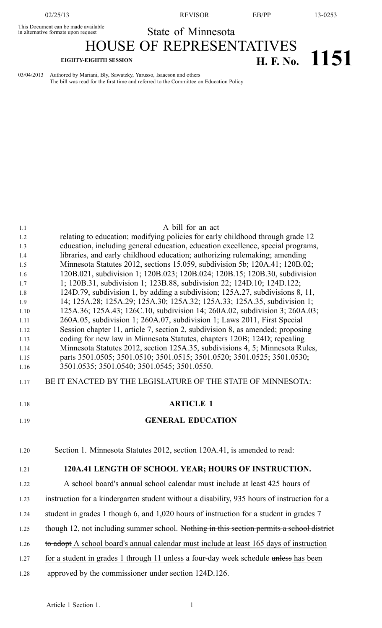02/25/13 REVISOR EB/PP 13-0253

This Document can be made available This Document can be made available<br>in alternative formats upon request State of Minnesota

HOUSE OF REPRESENTATIVES

# **EIGHTY-EIGHTH SESSION H. F. No. 1151**

03/04/2013 Authored by Mariani, Bly, Sawatzky, Yarusso, Isaacson and others The bill was read for the first time and referred to the Committee on Education Policy

| 1.1          | A bill for an act                                                                                                                                        |
|--------------|----------------------------------------------------------------------------------------------------------------------------------------------------------|
| 1.2          | relating to education; modifying policies for early childhood through grade 12                                                                           |
| 1.3          | education, including general education, education excellence, special programs,                                                                          |
| 1.4          | libraries, and early childhood education; authorizing rulemaking; amending                                                                               |
| 1.5          | Minnesota Statutes 2012, sections 15.059, subdivision 5b; 120A.41; 120B.02;                                                                              |
| 1.6<br>1.7   | 120B.021, subdivision 1; 120B.023; 120B.024; 120B.15; 120B.30, subdivision<br>1; 120B.31, subdivision 1; 123B.88, subdivision 22; 124D.10; 124D.122;     |
| 1.8          | 124D.79, subdivision 1, by adding a subdivision; 125A.27, subdivisions 8, 11,                                                                            |
| 1.9          | 14; 125A.28; 125A.29; 125A.30; 125A.32; 125A.33; 125A.35, subdivision 1;                                                                                 |
| 1.10         | 125A.36; 125A.43; 126C.10, subdivision 14; 260A.02, subdivision 3; 260A.03;                                                                              |
| 1.11         | 260A.05, subdivision 1; 260A.07, subdivision 1; Laws 2011, First Special                                                                                 |
| 1.12         | Session chapter 11, article 7, section 2, subdivision 8, as amended; proposing                                                                           |
| 1.13         | coding for new law in Minnesota Statutes, chapters 120B; 124D; repealing                                                                                 |
| 1.14         | Minnesota Statutes 2012, section 125A.35, subdivisions 4, 5; Minnesota Rules,<br>parts 3501.0505; 3501.0510; 3501.0515; 3501.0520; 3501.0525; 3501.0530; |
| 1.15<br>1.16 | 3501.0535; 3501.0540; 3501.0545; 3501.0550.                                                                                                              |
|              |                                                                                                                                                          |
| 1.17         | BE IT ENACTED BY THE LEGISLATURE OF THE STATE OF MINNESOTA:                                                                                              |
|              |                                                                                                                                                          |
| 1.18         | <b>ARTICLE 1</b>                                                                                                                                         |
| 1.19         | <b>GENERAL EDUCATION</b>                                                                                                                                 |
|              |                                                                                                                                                          |
| 1.20         | Section 1. Minnesota Statutes 2012, section 120A.41, is amended to read:                                                                                 |
|              |                                                                                                                                                          |
| 1.21         | 120A.41 LENGTH OF SCHOOL YEAR; HOURS OF INSTRUCTION.                                                                                                     |
| 1.22         | A school board's annual school calendar must include at least 425 hours of                                                                               |
| 1.23         | instruction for a kindergarten student without a disability, 935 hours of instruction for a                                                              |
| 1.24         | student in grades 1 though 6, and 1,020 hours of instruction for a student in grades 7                                                                   |
| 1.25         | though 12, not including summer school. Nothing in this section permits a school district                                                                |
| 1.26         | to adopt A school board's annual calendar must include at least 165 days of instruction                                                                  |
| 1.27         | for a student in grades 1 through 11 unless a four-day week schedule unless has been                                                                     |
| 1.28         | approved by the commissioner under section 124D.126.                                                                                                     |
|              |                                                                                                                                                          |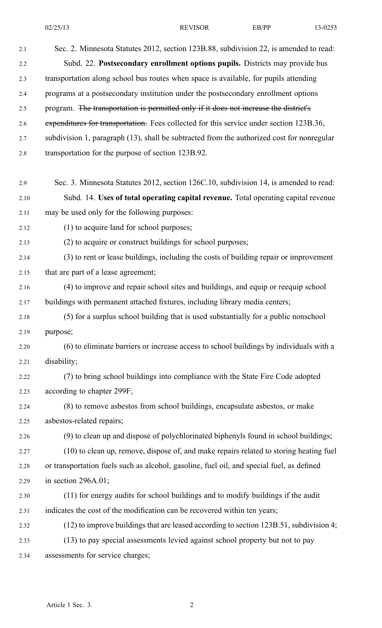| 2.1  | Sec. 2. Minnesota Statutes 2012, section 123B.88, subdivision 22, is amended to read:      |
|------|--------------------------------------------------------------------------------------------|
| 2.2  | Subd. 22. Postsecondary enrollment options pupils. Districts may provide bus               |
| 2.3  | transportation along school bus routes when space is available, for pupils attending       |
| 2.4  | programs at a postsecondary institution under the postsecondary enrollment options         |
| 2.5  | program. The transportation is permitted only if it does not increase the district's       |
| 2.6  | expenditures for transportation. Fees collected for this service under section 123B.36,    |
| 2.7  | subdivision 1, paragraph (13), shall be subtracted from the authorized cost for nonregular |
| 2.8  | transportation for the purpose of section 123B.92.                                         |
| 2.9  | Sec. 3. Minnesota Statutes 2012, section 126C.10, subdivision 14, is amended to read:      |
| 2.10 | Subd. 14. Uses of total operating capital revenue. Total operating capital revenue         |
| 2.11 | may be used only for the following purposes:                                               |
| 2.12 | (1) to acquire land for school purposes;                                                   |
| 2.13 | (2) to acquire or construct buildings for school purposes;                                 |
| 2.14 | (3) to rent or lease buildings, including the costs of building repair or improvement      |
| 2.15 | that are part of a lease agreement;                                                        |
| 2.16 | (4) to improve and repair school sites and buildings, and equip or reequip school          |
| 2.17 | buildings with permanent attached fixtures, including library media centers;               |
| 2.18 | (5) for a surplus school building that is used substantially for a public nonschool        |
| 2.19 | purpose;                                                                                   |
| 2.20 | (6) to eliminate barriers or increase access to school buildings by individuals with a     |
| 2.21 | disability;                                                                                |
| 2.22 | (7) to bring school buildings into compliance with the State Fire Code adopted             |
| 2.23 | according to chapter 299F;                                                                 |
| 2.24 | (8) to remove asbestos from school buildings, encapsulate asbestos, or make                |
| 2.25 | asbestos-related repairs;                                                                  |
| 2.26 | (9) to clean up and dispose of polychlorinated biphenyls found in school buildings;        |
| 2.27 | (10) to clean up, remove, dispose of, and make repairs related to storing heating fuel     |
| 2.28 | or transportation fuels such as alcohol, gasoline, fuel oil, and special fuel, as defined  |
| 2.29 | in section $296A.01$ ;                                                                     |
| 2.30 | (11) for energy audits for school buildings and to modify buildings if the audit           |
| 2.31 | indicates the cost of the modification can be recovered within ten years;                  |
| 2.32 | $(12)$ to improve buildings that are leased according to section 123B.51, subdivision 4;   |
| 2.33 | (13) to pay special assessments levied against school property but not to pay              |
| 2.34 | assessments for service charges;                                                           |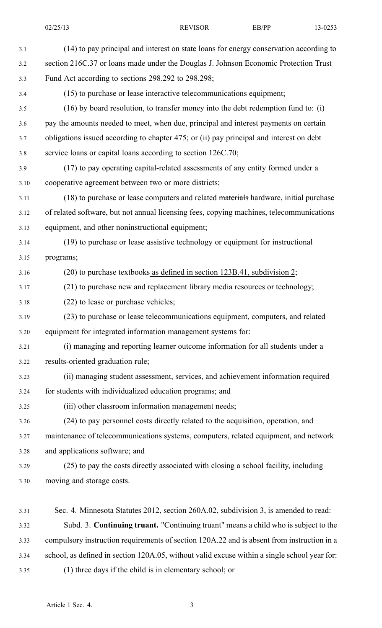|       | 02/25/13<br><b>REVISOR</b>                                                                 | EB/PP | 13-0253 |  |
|-------|--------------------------------------------------------------------------------------------|-------|---------|--|
| 3.1   | (14) to pay principal and interest on state loans for energy conservation according to     |       |         |  |
| 3.2   | section 216C.37 or loans made under the Douglas J. Johnson Economic Protection Trust       |       |         |  |
| 3.3   | Fund Act according to sections 298.292 to 298.298;                                         |       |         |  |
| 3.4   | (15) to purchase or lease interactive telecommunications equipment;                        |       |         |  |
| $3.5$ | $(16)$ by board resolution, to transfer money into the debt redemption fund to: (i)        |       |         |  |
| 3.6   | pay the amounts needed to meet, when due, principal and interest payments on certain       |       |         |  |
| 3.7   | obligations issued according to chapter 475; or (ii) pay principal and interest on debt    |       |         |  |
| 3.8   | service loans or capital loans according to section 126C.70;                               |       |         |  |
| 3.9   | (17) to pay operating capital-related assessments of any entity formed under a             |       |         |  |
| 3.10  | cooperative agreement between two or more districts;                                       |       |         |  |
| 3.11  | (18) to purchase or lease computers and related materials hardware, initial purchase       |       |         |  |
| 3.12  | of related software, but not annual licensing fees, copying machines, telecommunications   |       |         |  |
| 3.13  | equipment, and other noninstructional equipment;                                           |       |         |  |
| 3.14  | (19) to purchase or lease assistive technology or equipment for instructional              |       |         |  |
| 3.15  | programs;                                                                                  |       |         |  |
| 3.16  | $(20)$ to purchase textbooks as defined in section 123B.41, subdivision 2;                 |       |         |  |
| 3.17  | (21) to purchase new and replacement library media resources or technology;                |       |         |  |
| 3.18  | (22) to lease or purchase vehicles;                                                        |       |         |  |
| 3.19  | (23) to purchase or lease telecommunications equipment, computers, and related             |       |         |  |
| 3.20  | equipment for integrated information management systems for:                               |       |         |  |
| 3.21  | (i) managing and reporting learner outcome information for all students under a            |       |         |  |
| 3.22  | results-oriented graduation rule;                                                          |       |         |  |
| 3.23  | (ii) managing student assessment, services, and achievement information required           |       |         |  |
| 3.24  | for students with individualized education programs; and                                   |       |         |  |
| 3.25  | (iii) other classroom information management needs;                                        |       |         |  |
| 3.26  | (24) to pay personnel costs directly related to the acquisition, operation, and            |       |         |  |
| 3.27  | maintenance of telecommunications systems, computers, related equipment, and network       |       |         |  |
| 3.28  | and applications software; and                                                             |       |         |  |
| 3.29  | (25) to pay the costs directly associated with closing a school facility, including        |       |         |  |
| 3.30  | moving and storage costs.                                                                  |       |         |  |
| 3.31  | Sec. 4. Minnesota Statutes 2012, section 260A.02, subdivision 3, is amended to read:       |       |         |  |
| 3.32  | Subd. 3. Continuing truant. "Continuing truant" means a child who is subject to the        |       |         |  |
| 3.33  | compulsory instruction requirements of section 120A.22 and is absent from instruction in a |       |         |  |

- 3.34 school, as defined in section 120A.05, without valid excuse within <sup>a</sup> single school year for:
- 3.35 (1) three days if the child is in elementary school; or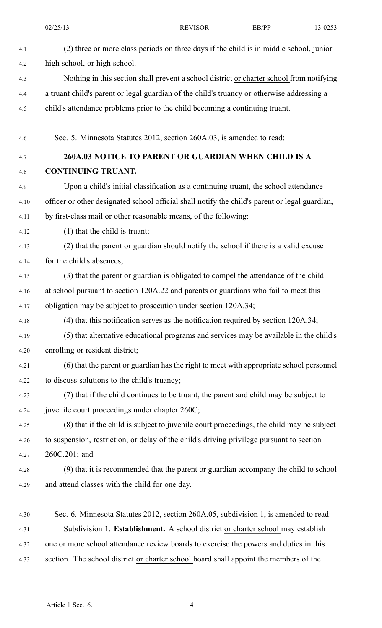|      | 02/25/13                                                                             | <b>REVISOR</b>                                                                                 | EB/PP | 13-0253 |
|------|--------------------------------------------------------------------------------------|------------------------------------------------------------------------------------------------|-------|---------|
| 4.1  |                                                                                      | (2) three or more class periods on three days if the child is in middle school, junior         |       |         |
| 4.2  | high school, or high school.                                                         |                                                                                                |       |         |
| 4.3  |                                                                                      | Nothing in this section shall prevent a school district or charter school from notifying       |       |         |
| 4.4  |                                                                                      | a truant child's parent or legal guardian of the child's truancy or otherwise addressing a     |       |         |
| 4.5  |                                                                                      | child's attendance problems prior to the child becoming a continuing truant.                   |       |         |
| 4.6  |                                                                                      | Sec. 5. Minnesota Statutes 2012, section 260A.03, is amended to read:                          |       |         |
| 4.7  |                                                                                      | 260A.03 NOTICE TO PARENT OR GUARDIAN WHEN CHILD IS A                                           |       |         |
| 4.8  | <b>CONTINUING TRUANT.</b>                                                            |                                                                                                |       |         |
| 4.9  |                                                                                      | Upon a child's initial classification as a continuing truant, the school attendance            |       |         |
| 4.10 |                                                                                      | officer or other designated school official shall notify the child's parent or legal guardian, |       |         |
| 4.11 |                                                                                      | by first-class mail or other reasonable means, of the following:                               |       |         |
| 4.12 | $(1)$ that the child is truant;                                                      |                                                                                                |       |         |
| 4.13 |                                                                                      | (2) that the parent or guardian should notify the school if there is a valid excuse            |       |         |
| 4.14 | for the child's absences;                                                            |                                                                                                |       |         |
| 4.15 |                                                                                      | (3) that the parent or guardian is obligated to compel the attendance of the child             |       |         |
| 4.16 |                                                                                      | at school pursuant to section 120A.22 and parents or guardians who fail to meet this           |       |         |
| 4.17 | obligation may be subject to prosecution under section 120A.34;                      |                                                                                                |       |         |
| 4.18 | $(4)$ that this notification serves as the notification required by section 120A.34; |                                                                                                |       |         |
| 4.19 |                                                                                      | (5) that alternative educational programs and services may be available in the child's         |       |         |
| 4.20 | enrolling or resident district;                                                      |                                                                                                |       |         |
| 4.21 |                                                                                      | (6) that the parent or guardian has the right to meet with appropriate school personnel        |       |         |
| 4.22 | to discuss solutions to the child's truancy;                                         |                                                                                                |       |         |
| 4.23 |                                                                                      | (7) that if the child continues to be truant, the parent and child may be subject to           |       |         |
| 4.24 | juvenile court proceedings under chapter 260C;                                       |                                                                                                |       |         |
| 4.25 |                                                                                      | (8) that if the child is subject to juvenile court proceedings, the child may be subject       |       |         |
| 4.26 |                                                                                      | to suspension, restriction, or delay of the child's driving privilege pursuant to section      |       |         |
| 4.27 | $260C.201$ ; and                                                                     |                                                                                                |       |         |
| 4.28 |                                                                                      | (9) that it is recommended that the parent or guardian accompany the child to school           |       |         |
| 4.29 | and attend classes with the child for one day.                                       |                                                                                                |       |         |
| 4.30 |                                                                                      | Sec. 6. Minnesota Statutes 2012, section 260A.05, subdivision 1, is amended to read:           |       |         |
| 4.31 |                                                                                      | Subdivision 1. Establishment. A school district or charter school may establish                |       |         |
| 4.32 |                                                                                      | one or more school attendance review boards to exercise the powers and duties in this          |       |         |

4.33 section. The school district or charter school board shall appoint the members of the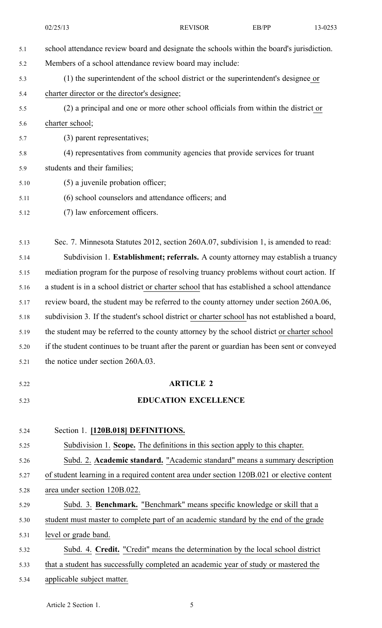|      | 02/25/13                                                                                     | <b>REVISOR</b>                                                                                 | EB/PP | 13-0253 |  |
|------|----------------------------------------------------------------------------------------------|------------------------------------------------------------------------------------------------|-------|---------|--|
| 5.1  | school attendance review board and designate the schools within the board's jurisdiction.    |                                                                                                |       |         |  |
| 5.2  | Members of a school attendance review board may include:                                     |                                                                                                |       |         |  |
| 5.3  |                                                                                              | (1) the superintendent of the school district or the superintendent's designee or              |       |         |  |
| 5.4  | charter director or the director's designee;                                                 |                                                                                                |       |         |  |
| 5.5  | (2) a principal and one or more other school officials from within the district or           |                                                                                                |       |         |  |
| 5.6  | charter school;                                                                              |                                                                                                |       |         |  |
| 5.7  | (3) parent representatives;                                                                  |                                                                                                |       |         |  |
| 5.8  | (4) representatives from community agencies that provide services for truant                 |                                                                                                |       |         |  |
| 5.9  | students and their families;                                                                 |                                                                                                |       |         |  |
| 5.10 | (5) a juvenile probation officer;                                                            |                                                                                                |       |         |  |
| 5.11 | (6) school counselors and attendance officers; and                                           |                                                                                                |       |         |  |
| 5.12 | (7) law enforcement officers.                                                                |                                                                                                |       |         |  |
| 5.13 | Sec. 7. Minnesota Statutes 2012, section 260A.07, subdivision 1, is amended to read:         |                                                                                                |       |         |  |
| 5.14 | Subdivision 1. Establishment; referrals. A county attorney may establish a truancy           |                                                                                                |       |         |  |
| 5.15 | mediation program for the purpose of resolving truancy problems without court action. If     |                                                                                                |       |         |  |
| 5.16 | a student is in a school district or charter school that has established a school attendance |                                                                                                |       |         |  |
| 5.17 | review board, the student may be referred to the county attorney under section 260A.06,      |                                                                                                |       |         |  |
| 5.18 |                                                                                              | subdivision 3. If the student's school district or charter school has not established a board, |       |         |  |
| 5.19 | the student may be referred to the county attorney by the school district or charter school  |                                                                                                |       |         |  |
| 5.20 | if the student continues to be truant after the parent or guardian has been sent or conveyed |                                                                                                |       |         |  |
| 5.21 | the notice under section 260A.03.                                                            |                                                                                                |       |         |  |
| 5.22 |                                                                                              | <b>ARTICLE 2</b>                                                                               |       |         |  |
| 5.23 |                                                                                              | <b>EDUCATION EXCELLENCE</b>                                                                    |       |         |  |
| 5.24 | Section 1. [120B.018] DEFINITIONS.                                                           |                                                                                                |       |         |  |
| 5.25 | Subdivision 1. Scope. The definitions in this section apply to this chapter.                 |                                                                                                |       |         |  |
| 5.26 | Subd. 2. Academic standard. "Academic standard" means a summary description                  |                                                                                                |       |         |  |
| 5.27 | of student learning in a required content area under section 120B.021 or elective content    |                                                                                                |       |         |  |
| 5.28 | area under section 120B.022.                                                                 |                                                                                                |       |         |  |
| 5.29 | Subd. 3. Benchmark. "Benchmark" means specific knowledge or skill that a                     |                                                                                                |       |         |  |
| 5.30 | student must master to complete part of an academic standard by the end of the grade         |                                                                                                |       |         |  |
| 5.31 | level or grade band.                                                                         |                                                                                                |       |         |  |
| 5.32 | Subd. 4. Credit. "Credit" means the determination by the local school district               |                                                                                                |       |         |  |
| 5.33 | that a student has successfully completed an academic year of study or mastered the          |                                                                                                |       |         |  |
| 5.34 | applicable subject matter.                                                                   |                                                                                                |       |         |  |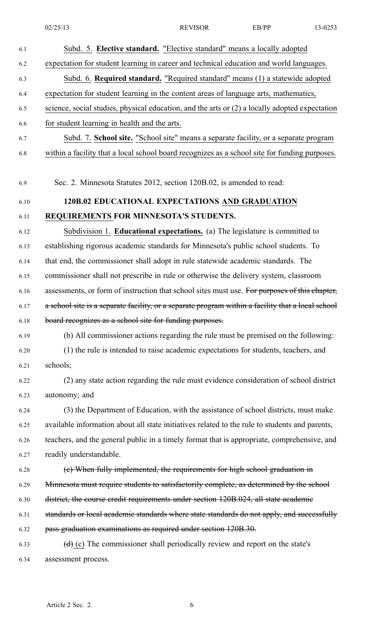| 6.1  | Subd. 5. Elective standard. "Elective standard" means a locally adopted                           |
|------|---------------------------------------------------------------------------------------------------|
| 6.2  | expectation for student learning in career and technical education and world languages.           |
| 6.3  | Subd. 6. Required standard. "Required standard" means (1) a statewide adopted                     |
| 6.4  | expectation for student learning in the content areas of language arts, mathematics,              |
| 6.5  | science, social studies, physical education, and the arts or (2) a locally adopted expectation    |
| 6.6  | for student learning in health and the arts.                                                      |
| 6.7  | Subd. 7. School site. "School site" means a separate facility, or a separate program              |
| 6.8  | within a facility that a local school board recognizes as a school site for funding purposes.     |
|      |                                                                                                   |
| 6.9  | Sec. 2. Minnesota Statutes 2012, section 120B.02, is amended to read:                             |
| 6.10 | 120B.02 EDUCATIONAL EXPECTATIONS AND GRADUATION                                                   |
| 6.11 | REQUIREMENTS FOR MINNESOTA'S STUDENTS.                                                            |
| 6.12 | Subdivision 1. Educational expectations. (a) The legislature is committed to                      |
| 6.13 | establishing rigorous academic standards for Minnesota's public school students. To               |
| 6.14 | that end, the commissioner shall adopt in rule statewide academic standards. The                  |
| 6.15 | commissioner shall not prescribe in rule or otherwise the delivery system, classroom              |
| 6.16 | assessments, or form of instruction that school sites must use. For purposes of this chapter,     |
| 6.17 | a school site is a separate facility, or a separate program within a facility that a local school |
| 6.18 | board recognizes as a school site for funding purposes.                                           |
| 6.19 | (b) All commissioner actions regarding the rule must be premised on the following:                |
| 6.20 | (1) the rule is intended to raise academic expectations for students, teachers, and               |
| 6.21 | schools;                                                                                          |
| 6.22 | (2) any state action regarding the rule must evidence consideration of school district            |
| 6.23 | autonomy; and                                                                                     |
| 6.24 | (3) the Department of Education, with the assistance of school districts, must make               |
| 6.25 | available information about all state initiatives related to the rule to students and parents,    |
| 6.26 | teachers, and the general public in a timely format that is appropriate, comprehensive, and       |
| 6.27 | readily understandable.                                                                           |
| 6.28 | (e) When fully implemented, the requirements for high school graduation in                        |
| 6.29 | Minnesota must require students to satisfactorily complete, as determined by the school           |
| 6.30 | district, the course credit requirements under section 120B.024, all state academic               |
| 6.31 | standards or local academic standards where state standards do not apply, and successfully        |
| 6.32 | pass graduation examinations as required under section 120B.30.                                   |
| 6.33 | $(d)$ (c) The commissioner shall periodically review and report on the state's                    |
| 6.34 | assessment process.                                                                               |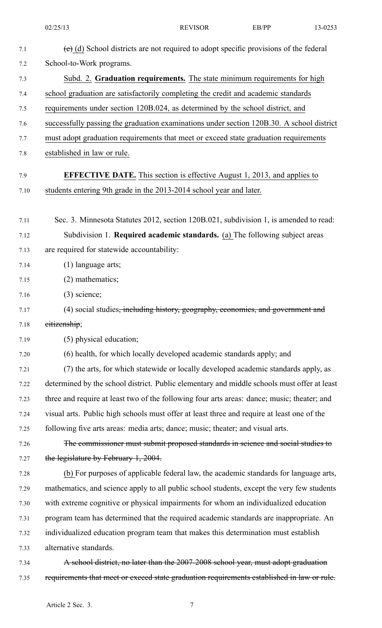|              | 02/25/13                                                                                                                                                                           | <b>REVISOR</b> | EB/PP | 13-0253 |
|--------------|------------------------------------------------------------------------------------------------------------------------------------------------------------------------------------|----------------|-------|---------|
| 7.1          | (e) (d) School districts are not required to adopt specific provisions of the federal                                                                                              |                |       |         |
| 7.2          | School-to-Work programs.                                                                                                                                                           |                |       |         |
| 7.3          | Subd. 2. Graduation requirements. The state minimum requirements for high                                                                                                          |                |       |         |
| 7.4          | school graduation are satisfactorily completing the credit and academic standards                                                                                                  |                |       |         |
| 7.5          | requirements under section 120B.024, as determined by the school district, and                                                                                                     |                |       |         |
| 7.6          | successfully passing the graduation examinations under section 120B.30. A school district                                                                                          |                |       |         |
| 7.7          | must adopt graduation requirements that meet or exceed state graduation requirements                                                                                               |                |       |         |
| 7.8          | established in law or rule.                                                                                                                                                        |                |       |         |
| 7.9          | <b>EFFECTIVE DATE.</b> This section is effective August 1, 2013, and applies to                                                                                                    |                |       |         |
| 7.10         | students entering 9th grade in the 2013-2014 school year and later.                                                                                                                |                |       |         |
|              |                                                                                                                                                                                    |                |       |         |
| 7.11         | Sec. 3. Minnesota Statutes 2012, section 120B.021, subdivision 1, is amended to read:                                                                                              |                |       |         |
| 7.12         | Subdivision 1. Required academic standards. (a) The following subject areas                                                                                                        |                |       |         |
| 7.13         | are required for statewide accountability:                                                                                                                                         |                |       |         |
| 7.14         | (1) language arts;                                                                                                                                                                 |                |       |         |
| 7.15         | $(2)$ mathematics;                                                                                                                                                                 |                |       |         |
| 7.16         | $(3)$ science;                                                                                                                                                                     |                |       |         |
| 7.17         | (4) social studies <del>, including history, geography, economics, and government and</del>                                                                                        |                |       |         |
| 7.18         | eitizenship;                                                                                                                                                                       |                |       |         |
| 7.19         | (5) physical education;                                                                                                                                                            |                |       |         |
| 7.20         | (6) health, for which locally developed academic standards apply; and                                                                                                              |                |       |         |
| 7.21<br>7.22 | (7) the arts, for which statewide or locally developed academic standards apply, as<br>determined by the school district. Public elementary and middle schools must offer at least |                |       |         |
| 7.23         | three and require at least two of the following four arts areas: dance; music; theater; and                                                                                        |                |       |         |
| 7.24         | visual arts. Public high schools must offer at least three and require at least one of the                                                                                         |                |       |         |
| 7.25         | following five arts areas: media arts; dance; music; theater; and visual arts.                                                                                                     |                |       |         |
| 7.26         | The commissioner must submit proposed standards in science and social studies to                                                                                                   |                |       |         |
| 7.27         | the legislature by February 1, 2004.                                                                                                                                               |                |       |         |
| 7.28         | (b) For purposes of applicable federal law, the academic standards for language arts,                                                                                              |                |       |         |
| 7.29         | mathematics, and science apply to all public school students, except the very few students                                                                                         |                |       |         |
| 7.30         | with extreme cognitive or physical impairments for whom an individualized education                                                                                                |                |       |         |
| 7.31         | program team has determined that the required academic standards are inappropriate. An                                                                                             |                |       |         |
| 7.32         | individualized education program team that makes this determination must establish                                                                                                 |                |       |         |
| 7.33         | alternative standards.                                                                                                                                                             |                |       |         |
| 7.34         | A school district, no later than the 2007-2008 school year, must adopt graduation                                                                                                  |                |       |         |
| 7.35         | requirements that meet or exceed state graduation requirements established in law or rule.                                                                                         |                |       |         |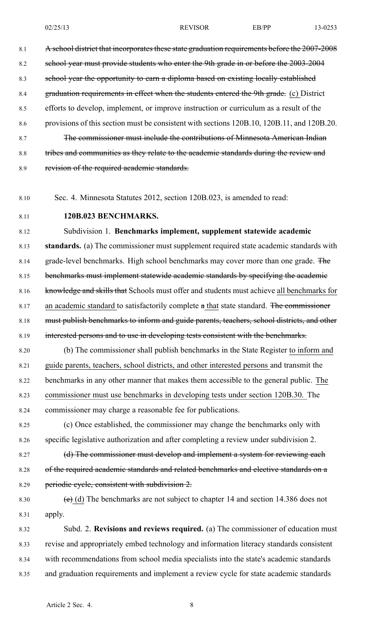8.1 A school district that incorporates these state graduation requirements before the 2007-2008 8.2 school year must provide students who enter the 9th grade in or before the 2003-2004 8.3 school year the opportunity to earn <sup>a</sup> diploma based on existing locally established 8.4 graduation requirements in effect when the students entered the 9th grade. (c) District 8.5 efforts to develop, implement, or improve instruction or curriculum as <sup>a</sup> result of the 8.6 provisions of this section must be consistent with sections 120B.10, 120B.11, and 120B.20. 8.7 The commissioner must include the contributions of Minnesota American Indian 8.8 tribes and communities as they relate to the academic standards during the review and 8.9 revision of the required academic standards.

8.10 Sec. 4. Minnesota Statutes 2012, section 120B.023, is amended to read:

# 8.11 **120B.023 BENCHMARKS.**

8.12 Subdivision 1. **Benchmarks implement, supplement statewide academic** 8.13 **standards.** (a) The commissioner must supplement required state academic standards with 8.14 grade-level benchmarks. High school benchmarks may cover more than one grade. The 8.15 benchmarks must implement statewide academic standards by specifying the academic 8.16 knowledge and skills that Schools must offer and students must achieve all benchmarks for 8.17 an academic standard to satisfactorily complete a that state standard. The commissioner 8.18 must publish benchmarks to inform and guide parents, teachers, school districts, and other 8.19 interested persons and to use in developing tests consistent with the benchmarks. 8.20 (b) The commissioner shall publish benchmarks in the State Register to inform and

8.21 guide parents, teachers, school districts, and other interested persons and transmit the 8.22 benchmarks in any other manner that makes them accessible to the general public. The 8.23 commissioner must use benchmarks in developing tests under section 120B.30. The 8.24 commissioner may charge <sup>a</sup> reasonable fee for publications.

8.25 (c) Once established, the commissioner may change the benchmarks only with 8.26 specific legislative authorization and after completing <sup>a</sup> review under subdivision 2.

8.27 (d) The commissioner must develop and implement a system for reviewing each 8.28 of the required academic standards and related benchmarks and elective standards on <sup>a</sup> 8.29 periodic cycle, consistent with subdivision 2.

8.30 (e) (d) The benchmarks are not subject to chapter 14 and section 14.386 does not 8.31 apply.

8.32 Subd. 2. **Revisions and reviews required.** (a) The commissioner of education must 8.33 revise and appropriately embed technology and information literacy standards consistent 8.34 with recommendations from school media specialists into the state's academic standards 8.35 and graduation requirements and implement <sup>a</sup> review cycle for state academic standards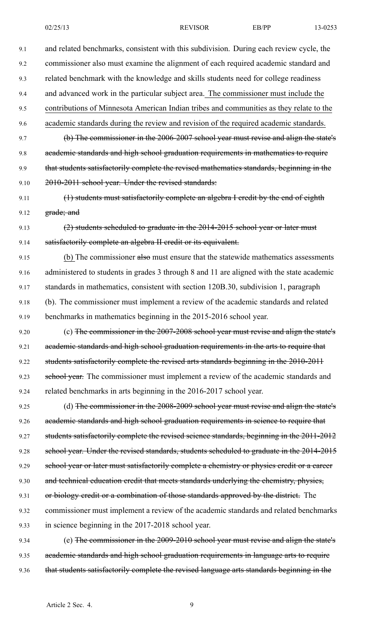| 9.1  | and related benchmarks, consistent with this subdivision. During each review cycle, the     |
|------|---------------------------------------------------------------------------------------------|
| 9.2  | commissioner also must examine the alignment of each required academic standard and         |
| 9.3  | related benchmark with the knowledge and skills students need for college readiness         |
| 9.4  | and advanced work in the particular subject area. The commissioner must include the         |
| 9.5  | contributions of Minnesota American Indian tribes and communities as they relate to the     |
| 9.6  | academic standards during the review and revision of the required academic standards.       |
| 9.7  | (b) The commissioner in the 2006-2007 school year must revise and align the state's         |
| 9.8  | academic standards and high school graduation requirements in mathematics to require        |
| 9.9  | that students satisfactorily complete the revised mathematics standards, beginning in the   |
| 9.10 | 2010-2011 school year. Under the revised standards:                                         |
| 9.11 | (1) students must satisfactorily complete an algebra I credit by the end of eighth          |
| 9.12 | grade; and                                                                                  |
| 9.13 | (2) students scheduled to graduate in the 2014-2015 school year or later must               |
| 9.14 | satisfactorily complete an algebra II credit or its equivalent.                             |
| 9.15 | (b) The commissioner also must ensure that the statewide mathematics assessments            |
| 9.16 | administered to students in grades 3 through 8 and 11 are aligned with the state academic   |
| 9.17 | standards in mathematics, consistent with section 120B.30, subdivision 1, paragraph         |
| 9.18 | (b). The commissioner must implement a review of the academic standards and related         |
| 9.19 | benchmarks in mathematics beginning in the 2015-2016 school year.                           |
| 9.20 | (c) The commissioner in the 2007-2008 school year must revise and align the state's         |
| 9.21 | academic standards and high school graduation requirements in the arts to require that      |
| 9.22 | students satisfactorily complete the revised arts standards beginning in the 2010-2011      |
| 9.23 | school year. The commissioner must implement a review of the academic standards and         |
| 9.24 | related benchmarks in arts beginning in the 2016-2017 school year.                          |
| 9.25 | (d) The commissioner in the 2008-2009 school year must revise and align the state's         |
| 9.26 | academic standards and high school graduation requirements in science to require that       |
| 9.27 | students satisfactorily complete the revised science standards, beginning in the 2011-2012  |
| 9.28 | school year. Under the revised standards, students scheduled to graduate in the 2014-2015   |
| 9.29 | school year or later must satisfactorily complete a chemistry or physics credit or a career |
| 9.30 | and technical education credit that meets standards underlying the chemistry, physics,      |
| 9.31 | or biology credit or a combination of those standards approved by the district. The         |
| 9.32 | commissioner must implement a review of the academic standards and related benchmarks       |
| 9.33 | in science beginning in the 2017-2018 school year.                                          |
| 9.34 | (e) The commissioner in the 2009-2010 school year must revise and align the state's         |
| 9.35 | academic standards and high school graduation requirements in language arts to require      |

9.36 that students satisfactorily complete the revised language arts standards beginning in the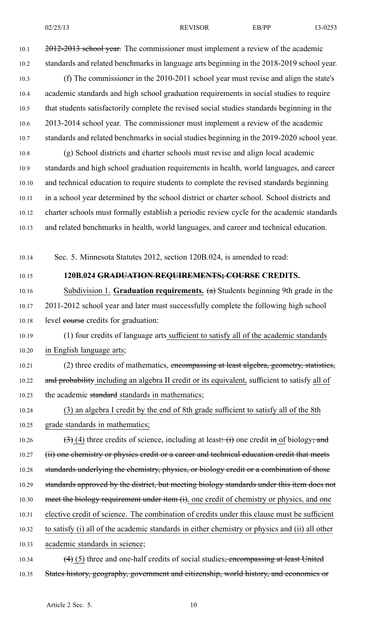| 02/25/13 | <b>REVISOR</b> | EB/PP<br>the contract of the contract of the contract of | 13-0253 |
|----------|----------------|----------------------------------------------------------|---------|
|          |                |                                                          |         |

10.1 2012-2013 school year. The commissioner must implement a review of the academic 10.2 standards and related benchmarks in language arts beginning in the 2018-2019 school year.

10.3 (f) The commissioner in the 2010-2011 school year must revise and align the state's 10.4 academic standards and high school graduation requirements in social studies to require 10.5 that students satisfactorily complete the revised social studies standards beginning in the 10.6 2013-2014 school year. The commissioner must implement <sup>a</sup> review of the academic 10.7 standards and related benchmarks in social studies beginning in the 2019-2020 school year.

10.8 (g) School districts and charter schools must revise and align local academic 10.9 standards and high school graduation requirements in health, world languages, and career 10.10 and technical education to require students to complete the revised standards beginning 10.11 in <sup>a</sup> school year determined by the school district or charter school. School districts and 10.12 charter schools must formally establish <sup>a</sup> periodic review cycle for the academic standards 10.13 and related benchmarks in health, world languages, and career and technical education.

10.14 Sec. 5. Minnesota Statutes 2012, section 120B.024, is amended to read:

# 10.15 **120B.024 GRADUATION REQUIREMENTS; COURSE CREDITS.**

10.16 Subdivision 1. **Graduation requirements.** (a) Students beginning 9th grade in the 10.17 2011-2012 school year and later must successfully complete the following high school 10.18 level course credits for graduation:

10.19 (1) four credits of language arts sufficient to satisfy all of the academic standards 10.20 in English language arts;

10.21 (2) three credits of mathematics, encompassing at least algebra, geometry, statistics, 10.22 and probability including an algebra II credit or its equivalent, sufficient to satisfy all of 10.23 the academic standard standards in mathematics;

10.24 (3) an algebra I credit by the end of 8th grade sufficient to satisfy all of the 8th 10.25 grade standards in mathematics;

10.26 (3) (4) three credits of science, including at least: (i) one credit in of biology; and 10.27 (ii) one chemistry or physics credit or a career and technical education credit that meets 10.28 standards underlying the chemistry, physics, or biology credit or a combination of those 10.29 standards approved by the district, but meeting biology standards under this item does not 10.30 meet the biology requirement under item (i), one credit of chemistry or physics, and one 10.31 elective credit of science. The combination of credits under this clause must be sufficient 10.32 to satisfy (i) all of the academic standards in either chemistry or physics and (ii) all other 10.33 academic standards in science;

10.34  $(4)$  (5) three and one-half credits of social studies<del>, encompassing at least United</del> 10.35 States history, geography, government and citizenship, world history, and economics or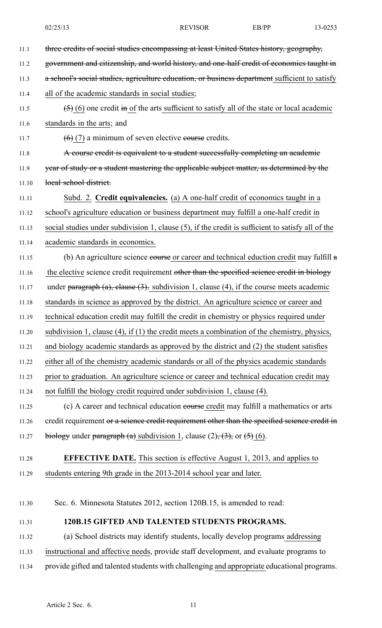| 11.1  | three eredits of social studies encompassing at least United States history, geography,           |
|-------|---------------------------------------------------------------------------------------------------|
| 11.2  | government and eitizenship, and world history, and one-half eredit of economics taught in         |
| 11.3  | a school's social studies, agriculture education, or business department sufficient to satisfy    |
| 11.4  | all of the academic standards in social studies;                                                  |
| 11.5  | $(5)$ (6) one credit in of the arts sufficient to satisfy all of the state or local academic      |
| 11.6  | standards in the arts; and                                                                        |
| 11.7  | $(6)$ (7) a minimum of seven elective course credits.                                             |
| 11.8  | A course credit is equivalent to a student successfully completing an academic                    |
| 11.9  | year of study or a student mastering the applicable subject matter, as determined by the          |
| 11.10 | local school district.                                                                            |
| 11.11 | Subd. 2. Credit equivalencies. (a) A one-half credit of economics taught in a                     |
| 11.12 | school's agriculture education or business department may fulfill a one-half credit in            |
| 11.13 | social studies under subdivision 1, clause (5), if the credit is sufficient to satisfy all of the |
| 11.14 | academic standards in economics.                                                                  |
| 11.15 | (b) An agriculture science eourse or career and technical eduction credit may fulfill $a$         |
| 11.16 | the elective science credit requirement other than the specified science credit in biology        |
| 11.17 | under paragraph $(a)$ , clause $(3)$ . subdivision 1, clause $(4)$ , if the course meets academic |
| 11.18 | standards in science as approved by the district. An agriculture science or career and            |
| 11.19 | technical education credit may fulfill the credit in chemistry or physics required under          |
| 11.20 | subdivision 1, clause $(4)$ , if $(1)$ the credit meets a combination of the chemistry, physics,  |
| 11.21 | and biology academic standards as approved by the district and (2) the student satisfies          |
| 11.22 | either all of the chemistry academic standards or all of the physics academic standards           |
| 11.23 | prior to graduation. An agriculture science or career and technical education credit may          |
| 11.24 | not fulfill the biology credit required under subdivision 1, clause (4).                          |
| 11.25 | (c) A career and technical education eourse credit may fulfill a mathematics or arts              |
| 11.26 | credit requirement or a science credit requirement other than the specified science credit in     |
| 11.27 | biology under paragraph (a) subdivision 1, clause $(2)$ , $(3)$ , or $(5)$ (6).                   |
| 11.28 | <b>EFFECTIVE DATE.</b> This section is effective August 1, 2013, and applies to                   |
| 11.29 | students entering 9th grade in the 2013-2014 school year and later.                               |
| 11.30 | Sec. 6. Minnesota Statutes 2012, section 120B.15, is amended to read:                             |
|       |                                                                                                   |
| 11.31 | 120B.15 GIFTED AND TALENTED STUDENTS PROGRAMS.                                                    |
| 11.32 | (a) School districts may identify students, locally develop programs addressing                   |
| 11.33 | instructional and affective needs, provide staff development, and evaluate programs to            |
| 11.34 | provide gifted and talented students with challenging and appropriate educational programs.       |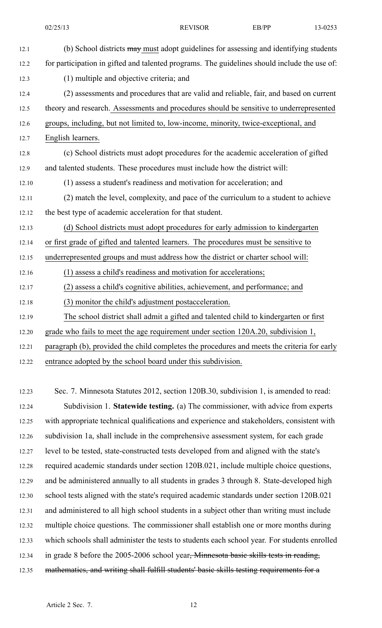| 12.1  | (b) School districts may must adopt guidelines for assessing and identifying students        |
|-------|----------------------------------------------------------------------------------------------|
| 12.2  | for participation in gifted and talented programs. The guidelines should include the use of: |
| 12.3  | (1) multiple and objective criteria; and                                                     |
| 12.4  | (2) assessments and procedures that are valid and reliable, fair, and based on current       |
| 12.5  | theory and research. Assessments and procedures should be sensitive to underrepresented      |
| 12.6  | groups, including, but not limited to, low-income, minority, twice-exceptional, and          |
| 12.7  | English learners.                                                                            |
| 12.8  | (c) School districts must adopt procedures for the academic acceleration of gifted           |
| 12.9  | and talented students. These procedures must include how the district will:                  |
| 12.10 | (1) assess a student's readiness and motivation for acceleration; and                        |
| 12.11 | (2) match the level, complexity, and pace of the curriculum to a student to achieve          |
| 12.12 | the best type of academic acceleration for that student.                                     |
| 12.13 | (d) School districts must adopt procedures for early admission to kindergarten               |
| 12.14 | or first grade of gifted and talented learners. The procedures must be sensitive to          |
| 12.15 | underrepresented groups and must address how the district or charter school will:            |
| 12.16 | (1) assess a child's readiness and motivation for accelerations;                             |
| 12.17 | (2) assess a child's cognitive abilities, achievement, and performance; and                  |
| 12.18 | (3) monitor the child's adjustment postacceleration.                                         |
| 12.19 | The school district shall admit a gifted and talented child to kindergarten or first         |
| 12.20 | grade who fails to meet the age requirement under section 120A.20, subdivision 1,            |
| 12.21 | paragraph (b), provided the child completes the procedures and meets the criteria for early  |
| 12.22 | entrance adopted by the school board under this subdivision.                                 |

12.23 Sec. 7. Minnesota Statutes 2012, section 120B.30, subdivision 1, is amended to read: 12.24 Subdivision 1. **Statewide testing.** (a) The commissioner, with advice from experts 12.25 with appropriate technical qualifications and experience and stakeholders, consistent with 12.26 subdivision 1a, shall include in the comprehensive assessment system, for each grade 12.27 level to be tested, state-constructed tests developed from and aligned with the state's 12.28 required academic standards under section 120B.021, include multiple choice questions, 12.29 and be administered annually to all students in grades 3 through 8. State-developed high 12.30 school tests aligned with the state's required academic standards under section 120B.021 12.31 and administered to all high school students in <sup>a</sup> subject other than writing must include 12.32 multiple choice questions. The commissioner shall establish one or more months during 12.33 which schools shall administer the tests to students each school year. For students enrolled 12.34 in grade 8 before the 2005-2006 school year<del>, Minnesota basic skills tests in reading,</del> 12.35 mathematics, and writing shall fulfill students' basic skills testing requirements for a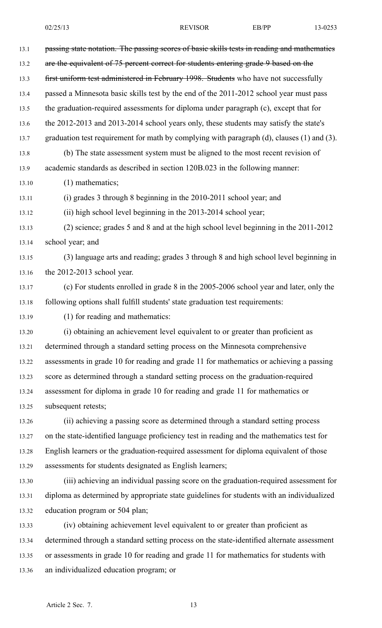| 13.1  | passing state notation. The passing scores of basic skills tests in reading and mathematics        |
|-------|----------------------------------------------------------------------------------------------------|
| 13.2  | are the equivalent of 75 percent correct for students entering grade 9 based on the                |
| 13.3  | first uniform test administered in February 1998. Students who have not successfully               |
| 13.4  | passed a Minnesota basic skills test by the end of the 2011-2012 school year must pass             |
| 13.5  | the graduation-required assessments for diploma under paragraph (c), except that for               |
| 13.6  | the 2012-2013 and 2013-2014 school years only, these students may satisfy the state's              |
| 13.7  | graduation test requirement for math by complying with paragraph $(d)$ , clauses $(1)$ and $(3)$ . |
| 13.8  | (b) The state assessment system must be aligned to the most recent revision of                     |
| 13.9  | academic standards as described in section 120B.023 in the following manner:                       |
| 13.10 | $(1)$ mathematics;                                                                                 |
| 13.11 | (i) grades 3 through 8 beginning in the 2010-2011 school year; and                                 |
| 13.12 | (ii) high school level beginning in the 2013-2014 school year;                                     |
| 13.13 | (2) science; grades 5 and 8 and at the high school level beginning in the 2011-2012                |
| 13.14 | school year; and                                                                                   |
| 13.15 | (3) language arts and reading; grades 3 through 8 and high school level beginning in               |
| 13.16 | the 2012-2013 school year.                                                                         |
| 13.17 | (c) For students enrolled in grade 8 in the 2005-2006 school year and later, only the              |
| 13.18 | following options shall fulfill students' state graduation test requirements:                      |
| 13.19 | (1) for reading and mathematics:                                                                   |
| 13.20 | (i) obtaining an achievement level equivalent to or greater than proficient as                     |
| 13.21 | determined through a standard setting process on the Minnesota comprehensive                       |
| 13.22 | assessments in grade 10 for reading and grade 11 for mathematics or achieving a passing            |
| 13.23 | score as determined through a standard setting process on the graduation-required                  |
| 13.24 | assessment for diploma in grade 10 for reading and grade 11 for mathematics or                     |
| 13.25 | subsequent retests;                                                                                |
| 13.26 | (ii) achieving a passing score as determined through a standard setting process                    |
| 13.27 | on the state-identified language proficiency test in reading and the mathematics test for          |
| 13.28 | English learners or the graduation-required assessment for diploma equivalent of those             |
| 13.29 | assessments for students designated as English learners;                                           |
| 13.30 | (iii) achieving an individual passing score on the graduation-required assessment for              |
| 13.31 | diploma as determined by appropriate state guidelines for students with an individualized          |
| 13.32 | education program or 504 plan;                                                                     |
| 13.33 | (iv) obtaining achievement level equivalent to or greater than proficient as                       |
| 13.34 | determined through a standard setting process on the state-identified alternate assessment         |
| 13.35 | or assessments in grade 10 for reading and grade 11 for mathematics for students with              |
| 13.36 | an individualized education program; or                                                            |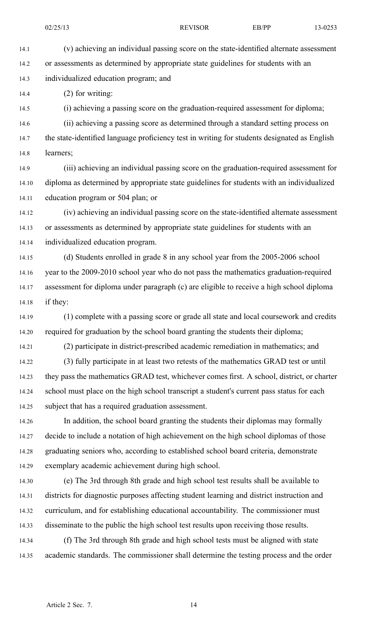14.1 (v) achieving an individual passing score on the state-identified alternate assessment 14.2 or assessments as determined by appropriate state guidelines for students with an 14.3 individualized education program; and

14.4 (2) for writing:

14.5 (i) achieving <sup>a</sup> passing score on the graduation-required assessment for diploma;

14.6 (ii) achieving <sup>a</sup> passing score as determined through <sup>a</sup> standard setting process on 14.7 the state-identified language proficiency test in writing for students designated as English 14.8 learners;

14.9 (iii) achieving an individual passing score on the graduation-required assessment for 14.10 diploma as determined by appropriate state guidelines for students with an individualized 14.11 education program or 504 plan; or

14.12 (iv) achieving an individual passing score on the state-identified alternate assessment 14.13 or assessments as determined by appropriate state guidelines for students with an 14.14 individualized education program.

14.15 (d) Students enrolled in grade 8 in any school year from the 2005-2006 school 14.16 year to the 2009-2010 school year who do not pass the mathematics graduation-required 14.17 assessment for diploma under paragraph (c) are eligible to receive <sup>a</sup> high school diploma 14.18 if they:

14.19 (1) complete with <sup>a</sup> passing score or grade all state and local coursework and credits 14.20 required for graduation by the school board granting the students their diploma;

14.21 (2) participate in district-prescribed academic remediation in mathematics; and 14.22 (3) fully participate in at least two retests of the mathematics GRAD test or until

14.23 they pass the mathematics GRAD test, whichever comes first. A school, district, or charter 14.24 school must place on the high school transcript <sup>a</sup> student's current pass status for each 14.25 subject that has <sup>a</sup> required graduation assessment.

14.26 In addition, the school board granting the students their diplomas may formally 14.27 decide to include <sup>a</sup> notation of high achievement on the high school diplomas of those 14.28 graduating seniors who, according to established school board criteria, demonstrate 14.29 exemplary academic achievement during high school.

14.30 (e) The 3rd through 8th grade and high school test results shall be available to 14.31 districts for diagnostic purposes affecting student learning and district instruction and 14.32 curriculum, and for establishing educational accountability. The commissioner must 14.33 disseminate to the public the high school test results upon receiving those results.

14.34 (f) The 3rd through 8th grade and high school tests must be aligned with state 14.35 academic standards. The commissioner shall determine the testing process and the order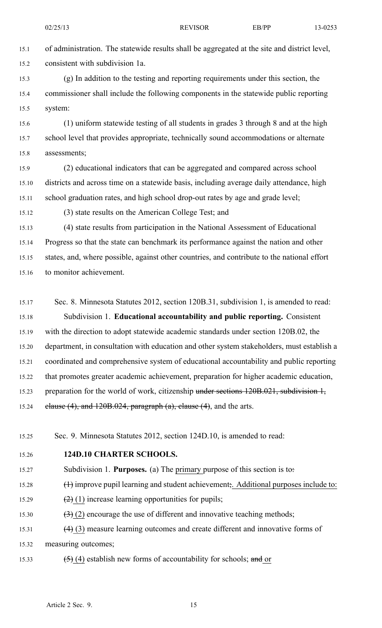15.1 of administration. The statewide results shall be aggregated at the site and district level, 15.2 consistent with subdivision 1a.

15.3 (g) In addition to the testing and reporting requirements under this section, the 15.4 commissioner shall include the following components in the statewide public reporting 15.5 system:

15.6 (1) uniform statewide testing of all students in grades 3 through 8 and at the high 15.7 school level that provides appropriate, technically sound accommodations or alternate 15.8 assessments;

15.9 (2) educational indicators that can be aggregated and compared across school 15.10 districts and across time on <sup>a</sup> statewide basis, including average daily attendance, high 15.11 school graduation rates, and high school drop-out rates by age and grade level;

15.12 (3) state results on the American College Test; and

15.13 (4) state results from participation in the National Assessment of Educational 15.14 Progress so that the state can benchmark its performance against the nation and other 15.15 states, and, where possible, against other countries, and contribute to the national effort 15.16 to monitor achievement.

15.17 Sec. 8. Minnesota Statutes 2012, section 120B.31, subdivision 1, is amended to read: 15.18 Subdivision 1. **Educational accountability and public reporting.** Consistent 15.19 with the direction to adopt statewide academic standards under section 120B.02, the 15.20 department, in consultation with education and other system stakeholders, must establish <sup>a</sup> 15.21 coordinated and comprehensive system of educational accountability and public reporting 15.22 that promotes greater academic achievement, preparation for higher academic education, 15.23 preparation for the world of work, citizenship under sections 120B.021, subdivision 1, 15.24 clause  $(4)$ , and  $120B.024$ , paragraph  $(a)$ , clause  $(4)$ , and the arts.

15.25 Sec. 9. Minnesota Statutes 2012, section 124D.10, is amended to read:

15.26 **124D.10 CHARTER SCHOOLS.**

- 15.27 Subdivision 1. **Purposes.** (a) The primary purpose of this section is to:
- 15.28 (1) improve pupil learning and student achievement;. Additional purposes include to:
- 15.29  $(2)$  (1) increase learning opportunities for pupils;
- 15.30  $(3)(2)$  encourage the use of different and innovative teaching methods;
- 15.31 (4) (3) measure learning outcomes and create different and innovative forms of 15.32 measuring outcomes;
- 15.33  $(5)$  (4) establish new forms of accountability for schools; and or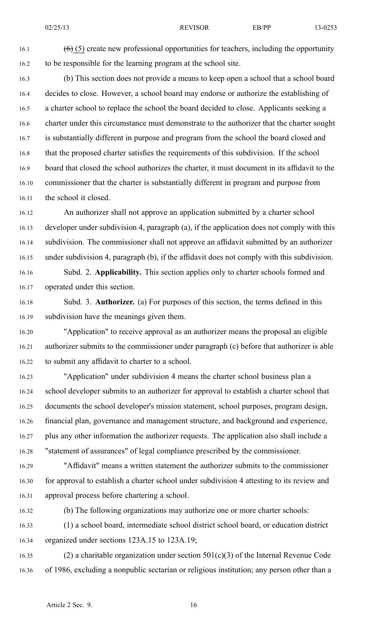16.1  $(6)(5)$  create new professional opportunities for teachers, including the opportunity 16.2 to be responsible for the learning program at the school site.

16.3 (b) This section does not provide <sup>a</sup> means to keep open <sup>a</sup> school that <sup>a</sup> school board 16.4 decides to close. However, <sup>a</sup> school board may endorse or authorize the establishing of 16.5 <sup>a</sup> charter school to replace the school the board decided to close. Applicants seeking <sup>a</sup> 16.6 charter under this circumstance must demonstrate to the authorizer that the charter sought 16.7 is substantially different in purpose and program from the school the board closed and 16.8 that the proposed charter satisfies the requirements of this subdivision. If the school 16.9 board that closed the school authorizes the charter, it must document in its affidavit to the 16.10 commissioner that the charter is substantially different in program and purpose from 16.11 the school it closed.

16.12 An authorizer shall not approve an application submitted by <sup>a</sup> charter school 16.13 developer under subdivision 4, paragraph (a), if the application does not comply with this 16.14 subdivision. The commissioner shall not approve an affidavit submitted by an authorizer 16.15 under subdivision 4, paragraph (b), if the affidavit does not comply with this subdivision. 16.16 Subd. 2. **Applicability.** This section applies only to charter schools formed and

16.17 operated under this section.

16.18 Subd. 3. **Authorizer.** (a) For purposes of this section, the terms defined in this 16.19 subdivision have the meanings given them.

16.20 "Application" to receive approval as an authorizer means the proposal an eligible 16.21 authorizer submits to the commissioner under paragraph (c) before that authorizer is able 16.22 to submit any affidavit to charter to <sup>a</sup> school.

16.23 "Application" under subdivision 4 means the charter school business plan <sup>a</sup> 16.24 school developer submits to an authorizer for approval to establish <sup>a</sup> charter school that 16.25 documents the school developer's mission statement, school purposes, program design, 16.26 financial plan, governance and managemen<sup>t</sup> structure, and background and experience, 16.27 plus any other information the authorizer requests. The application also shall include <sup>a</sup> 16.28 "statement of assurances" of legal compliance prescribed by the commissioner.

16.29 "Affidavit" means <sup>a</sup> written statement the authorizer submits to the commissioner 16.30 for approval to establish <sup>a</sup> charter school under subdivision 4 attesting to its review and 16.31 approval process before chartering <sup>a</sup> school.

16.32 (b) The following organizations may authorize one or more charter schools:

16.33 (1) <sup>a</sup> school board, intermediate school district school board, or education district 16.34 organized under sections 123A.15 to 123A.19;

16.35 (2) a charitable organization under section  $501(c)(3)$  of the Internal Revenue Code 16.36 of 1986, excluding <sup>a</sup> nonpublic sectarian or religious institution; any person other than <sup>a</sup>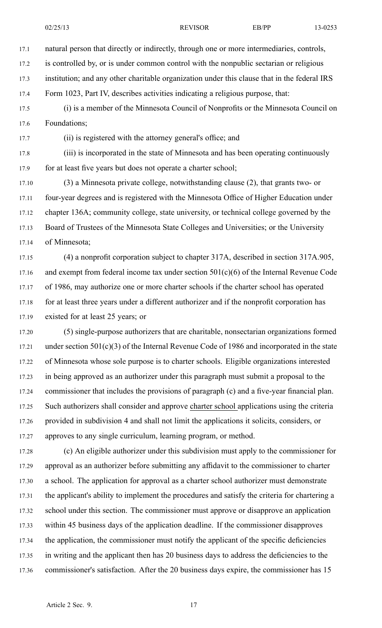17.1 natural person that directly or indirectly, through one or more intermediaries, controls,

17.2 is controlled by, or is under common control with the nonpublic sectarian or religious

17.3 institution; and any other charitable organization under this clause that in the federal IRS

17.4 Form 1023, Part IV, describes activities indicating <sup>a</sup> religious purpose, that:

17.5 (i) is <sup>a</sup> member of the Minnesota Council of Nonprofits or the Minnesota Council on 17.6 Foundations;

17.7 (ii) is registered with the attorney general's office; and

17.8 (iii) is incorporated in the state of Minnesota and has been operating continuously 17.9 for at least five years but does not operate a charter school;

17.10 (3) <sup>a</sup> Minnesota private college, notwithstanding clause (2), that grants two- or 17.11 four-year degrees and is registered with the Minnesota Office of Higher Education under 17.12 chapter 136A; community college, state university, or technical college governed by the 17.13 Board of Trustees of the Minnesota State Colleges and Universities; or the University 17.14 of Minnesota;

17.15 (4) <sup>a</sup> nonprofit corporation subject to chapter 317A, described in section 317A.905, 17.16 and exempt from federal income tax under section  $501(c)(6)$  of the Internal Revenue Code 17.17 of 1986, may authorize one or more charter schools if the charter school has operated 17.18 for at least three years under a different authorizer and if the nonprofit corporation has 17.19 existed for at least 25 years; or

17.20 (5) single-purpose authorizers that are charitable, nonsectarian organizations formed 17.21 under section 501(c)(3) of the Internal Revenue Code of 1986 and incorporated in the state 17.22 of Minnesota whose sole purpose is to charter schools. Eligible organizations interested 17.23 in being approved as an authorizer under this paragraph must submit <sup>a</sup> proposal to the 17.24 commissioner that includes the provisions of paragraph (c) and <sup>a</sup> five-year financial plan. 17.25 Such authorizers shall consider and approve charter school applications using the criteria 17.26 provided in subdivision 4 and shall not limit the applications it solicits, considers, or 17.27 approves to any single curriculum, learning program, or method.

17.28 (c) An eligible authorizer under this subdivision must apply to the commissioner for 17.29 approval as an authorizer before submitting any affidavit to the commissioner to charter 17.30 <sup>a</sup> school. The application for approval as <sup>a</sup> charter school authorizer must demonstrate 17.31 the applicant's ability to implement the procedures and satisfy the criteria for chartering <sup>a</sup> 17.32 school under this section. The commissioner must approve or disapprove an application 17.33 within 45 business days of the application deadline. If the commissioner disapproves 17.34 the application, the commissioner must notify the applicant of the specific deficiencies 17.35 in writing and the applicant then has 20 business days to address the deficiencies to the 17.36 commissioner's satisfaction. After the 20 business days expire, the commissioner has 15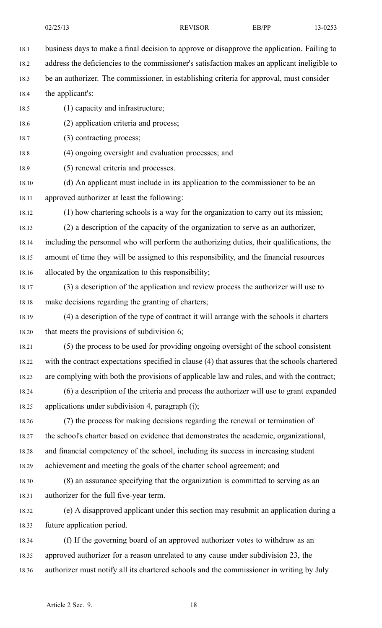18.1 business days to make <sup>a</sup> final decision to approve or disapprove the application. Failing to 18.2 address the deficiencies to the commissioner's satisfaction makes an applicant ineligible to

18.3 be an authorizer. The commissioner, in establishing criteria for approval, must consider

18.4 the applicant's:

18.5 (1) capacity and infrastructure;

18.6 (2) application criteria and process;

18.7 (3) contracting process;

18.8 (4) ongoing oversight and evaluation processes; and

18.9 (5) renewal criteria and processes.

18.10 (d) An applicant must include in its application to the commissioner to be an 18.11 approved authorizer at least the following:

18.12 (1) how chartering schools is <sup>a</sup> way for the organization to carry out its mission;

18.13 (2) <sup>a</sup> description of the capacity of the organization to serve as an authorizer, 18.14 including the personnel who will perform the authorizing duties, their qualifications, the 18.15 amount of time they will be assigned to this responsibility, and the financial resources 18.16 allocated by the organization to this responsibility;

- 18.17 (3) <sup>a</sup> description of the application and review process the authorizer will use to 18.18 make decisions regarding the granting of charters;
- 18.19 (4) <sup>a</sup> description of the type of contract it will arrange with the schools it charters 18.20 that meets the provisions of subdivision 6;

18.21 (5) the process to be used for providing ongoing oversight of the school consistent 18.22 with the contract expectations specified in clause (4) that assures that the schools chartered 18.23 are complying with both the provisions of applicable law and rules, and with the contract;

18.24 (6) <sup>a</sup> description of the criteria and process the authorizer will use to gran<sup>t</sup> expanded 18.25 applications under subdivision 4, paragraph (j);

18.26 (7) the process for making decisions regarding the renewal or termination of 18.27 the school's charter based on evidence that demonstrates the academic, organizational, 18.28 and financial competency of the school, including its success in increasing student 18.29 achievement and meeting the goals of the charter school agreement; and

18.30 (8) an assurance specifying that the organization is committed to serving as an 18.31 authorizer for the full five-year term.

18.32 (e) A disapproved applicant under this section may resubmit an application during <sup>a</sup> 18.33 future application period.

18.34 (f) If the governing board of an approved authorizer votes to withdraw as an 18.35 approved authorizer for <sup>a</sup> reason unrelated to any cause under subdivision 23, the 18.36 authorizer must notify all its chartered schools and the commissioner in writing by July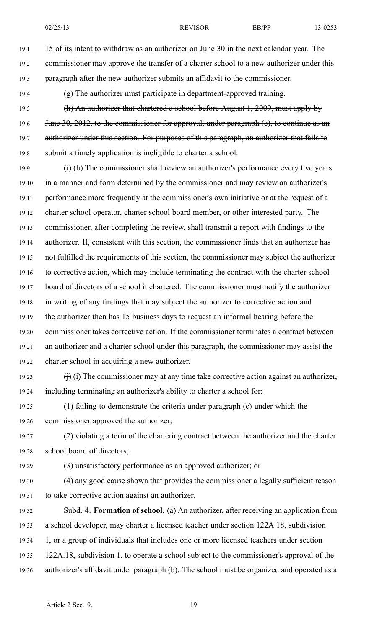19.1 15 of its intent to withdraw as an authorizer on June 30 in the next calendar year. The 19.2 commissioner may approve the transfer of <sup>a</sup> charter school to <sup>a</sup> new authorizer under this 19.3 paragraph after the new authorizer submits an affidavit to the commissioner.

- 19.4 (g) The authorizer must participate in department-approved training.
- 19.5 (h) An authorizer that chartered <sup>a</sup> school before August 1, 2009, must apply by 19.6 June 30, 2012, to the commissioner for approval, under paragraph (e), to continue as an 19.7 authorizer under this section. For purposes of this paragraph, an authorizer that fails to 19.8 submit a timely application is ineligible to charter a school.
- 19.9  $(i)$  (h) The commissioner shall review an authorizer's performance every five years 19.10 in <sup>a</sup> manner and form determined by the commissioner and may review an authorizer's 19.11 performance more frequently at the commissioner's own initiative or at the reques<sup>t</sup> of <sup>a</sup> 19.12 charter school operator, charter school board member, or other interested party. The 19.13 commissioner, after completing the review, shall transmit <sup>a</sup> repor<sup>t</sup> with findings to the 19.14 authorizer. If, consistent with this section, the commissioner finds that an authorizer has 19.15 not fulfilled the requirements of this section, the commissioner may subject the authorizer 19.16 to corrective action, which may include terminating the contract with the charter school 19.17 board of directors of <sup>a</sup> school it chartered. The commissioner must notify the authorizer 19.18 in writing of any findings that may subject the authorizer to corrective action and 19.19 the authorizer then has 15 business days to reques<sup>t</sup> an informal hearing before the 19.20 commissioner takes corrective action. If the commissioner terminates <sup>a</sup> contract between 19.21 an authorizer and <sup>a</sup> charter school under this paragraph, the commissioner may assist the 19.22 charter school in acquiring <sup>a</sup> new authorizer.
- 19.23  $(j)$  (i) The commissioner may at any time take corrective action against an authorizer, 19.24 including terminating an authorizer's ability to charter <sup>a</sup> school for:
- 19.25 (1) failing to demonstrate the criteria under paragraph (c) under which the 19.26 commissioner approved the authorizer;
- 19.27 (2) violating <sup>a</sup> term of the chartering contract between the authorizer and the charter 19.28 school board of directors;
- 19.29 (3) unsatisfactory performance as an approved authorizer; or
- 19.30 (4) any good cause shown that provides the commissioner <sup>a</sup> legally sufficient reason 19.31 to take corrective action against an authorizer.
- 19.32 Subd. 4. **Formation of school.** (a) An authorizer, after receiving an application from 19.33 <sup>a</sup> school developer, may charter <sup>a</sup> licensed teacher under section 122A.18, subdivision 19.34 1, or <sup>a</sup> group of individuals that includes one or more licensed teachers under section 19.35 122A.18, subdivision 1, to operate <sup>a</sup> school subject to the commissioner's approval of the 19.36 authorizer's affidavit under paragraph (b). The school must be organized and operated as <sup>a</sup>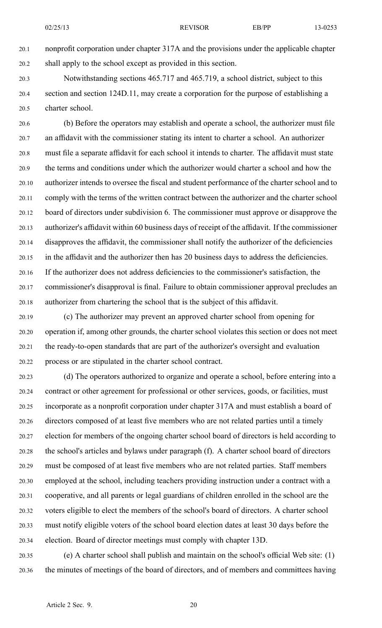20.1 nonprofit corporation under chapter 317A and the provisions under the applicable chapter 20.2 shall apply to the school excep<sup>t</sup> as provided in this section.

20.3 Notwithstanding sections 465.717 and 465.719, <sup>a</sup> school district, subject to this 20.4 section and section 124D.11, may create <sup>a</sup> corporation for the purpose of establishing <sup>a</sup> 20.5 charter school.

20.6 (b) Before the operators may establish and operate <sup>a</sup> school, the authorizer must file 20.7 an affidavit with the commissioner stating its intent to charter <sup>a</sup> school. An authorizer 20.8 must file <sup>a</sup> separate affidavit for each school it intends to charter. The affidavit must state 20.9 the terms and conditions under which the authorizer would charter <sup>a</sup> school and how the 20.10 authorizer intends to oversee the fiscal and student performance of the charter school and to 20.11 comply with the terms of the written contract between the authorizer and the charter school 20.12 board of directors under subdivision 6. The commissioner must approve or disapprove the 20.13 authorizer's affidavit within 60 business days of receipt of the affidavit. If the commissioner 20.14 disapproves the affidavit, the commissioner shall notify the authorizer of the deficiencies 20.15 in the affidavit and the authorizer then has 20 business days to address the deficiencies. 20.16 If the authorizer does not address deficiencies to the commissioner's satisfaction, the 20.17 commissioner's disapproval is final. Failure to obtain commissioner approval precludes an 20.18 authorizer from chartering the school that is the subject of this affidavit.

20.19 (c) The authorizer may preven<sup>t</sup> an approved charter school from opening for 20.20 operation if, among other grounds, the charter school violates this section or does not meet 20.21 the ready-to-open standards that are par<sup>t</sup> of the authorizer's oversight and evaluation 20.22 process or are stipulated in the charter school contract.

20.23 (d) The operators authorized to organize and operate <sup>a</sup> school, before entering into <sup>a</sup> 20.24 contract or other agreemen<sup>t</sup> for professional or other services, goods, or facilities, must 20.25 incorporate as <sup>a</sup> nonprofit corporation under chapter 317A and must establish <sup>a</sup> board of 20.26 directors composed of at least five members who are not related parties until <sup>a</sup> timely 20.27 election for members of the ongoing charter school board of directors is held according to 20.28 the school's articles and bylaws under paragraph (f). A charter school board of directors 20.29 must be composed of at least five members who are not related parties. Staff members 20.30 employed at the school, including teachers providing instruction under <sup>a</sup> contract with <sup>a</sup> 20.31 cooperative, and all parents or legal guardians of children enrolled in the school are the 20.32 voters eligible to elect the members of the school's board of directors. A charter school 20.33 must notify eligible voters of the school board election dates at least 30 days before the 20.34 election. Board of director meetings must comply with chapter 13D.

20.35 (e) A charter school shall publish and maintain on the school's official Web site: (1) 20.36 the minutes of meetings of the board of directors, and of members and committees having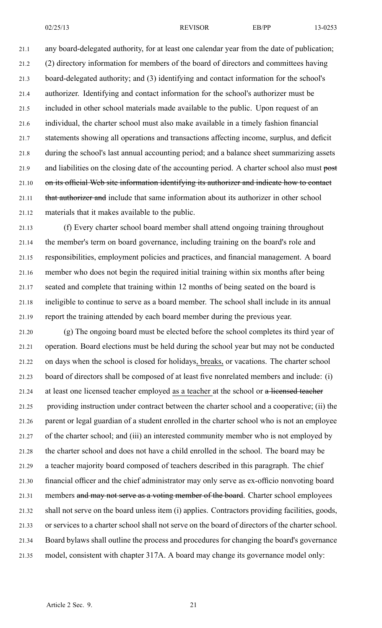21.1 any board-delegated authority, for at least one calendar year from the date of publication; 21.2 (2) directory information for members of the board of directors and committees having 21.3 board-delegated authority; and (3) identifying and contact information for the school's 21.4 authorizer. Identifying and contact information for the school's authorizer must be 21.5 included in other school materials made available to the public. Upon reques<sup>t</sup> of an 21.6 individual, the charter school must also make available in <sup>a</sup> timely fashion financial 21.7 statements showing all operations and transactions affecting income, surplus, and deficit 21.8 during the school's last annual accounting period; and <sup>a</sup> balance sheet summarizing assets 21.9 and liabilities on the closing date of the accounting period. A charter school also must post 21.10 on its official Web site information identifying its authorizer and indicate how to contact 21.11 that authorizer and include that same information about its authorizer in other school 21.12 materials that it makes available to the public.

21.13 (f) Every charter school board member shall attend ongoing training throughout 21.14 the member's term on board governance, including training on the board's role and 21.15 responsibilities, employment policies and practices, and financial management. A board 21.16 member who does not begin the required initial training within six months after being 21.17 seated and complete that training within 12 months of being seated on the board is 21.18 ineligible to continue to serve as <sup>a</sup> board member. The school shall include in its annual 21.19 repor<sup>t</sup> the training attended by each board member during the previous year.

21.20 (g) The ongoing board must be elected before the school completes its third year of 21.21 operation. Board elections must be held during the school year but may not be conducted 21.22 on days when the school is closed for holidays, breaks, or vacations. The charter school 21.23 board of directors shall be composed of at least five nonrelated members and include: (i) 21.24 at least one licensed teacher employed as <sup>a</sup> teacher at the school or <sup>a</sup> licensed teacher 21.25 providing instruction under contract between the charter school and <sup>a</sup> cooperative; (ii) the 21.26 paren<sup>t</sup> or legal guardian of <sup>a</sup> student enrolled in the charter school who is not an employee 21.27 of the charter school; and (iii) an interested community member who is not employed by 21.28 the charter school and does not have <sup>a</sup> child enrolled in the school. The board may be 21.29 <sup>a</sup> teacher majority board composed of teachers described in this paragraph. The chief 21.30 financial officer and the chief administrator may only serve as ex-officio nonvoting board 21.31 members and may not serve as a voting member of the board. Charter school employees 21.32 shall not serve on the board unless item (i) applies. Contractors providing facilities, goods, 21.33 or services to <sup>a</sup> charter school shall not serve on the board of directors of the charter school. 21.34 Board bylaws shall outline the process and procedures for changing the board's governance 21.35 model, consistent with chapter 317A. A board may change its governance model only: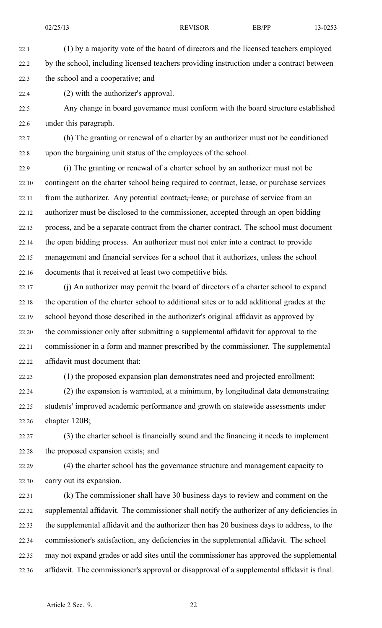22.1 (1) by <sup>a</sup> majority vote of the board of directors and the licensed teachers employed 22.2 by the school, including licensed teachers providing instruction under <sup>a</sup> contract between 22.3 the school and <sup>a</sup> cooperative; and

22.4 (2) with the authorizer's approval.

22.5 Any change in board governance must conform with the board structure established 22.6 under this paragraph.

22.7 (h) The granting or renewal of <sup>a</sup> charter by an authorizer must not be conditioned 22.8 upon the bargaining unit status of the employees of the school.

22.9 (i) The granting or renewal of <sup>a</sup> charter school by an authorizer must not be 22.10 contingent on the charter school being required to contract, lease, or purchase services 22.11 from the authorizer. Any potential contract, lease, or purchase of service from an 22.12 authorizer must be disclosed to the commissioner, accepted through an open bidding 22.13 process, and be <sup>a</sup> separate contract from the charter contract. The school must document 22.14 the open bidding process. An authorizer must not enter into <sup>a</sup> contract to provide 22.15 managemen<sup>t</sup> and financial services for <sup>a</sup> school that it authorizes, unless the school 22.16 documents that it received at least two competitive bids.

22.17 (j) An authorizer may permit the board of directors of <sup>a</sup> charter school to expand 22.18 the operation of the charter school to additional sites or to add additional grades at the 22.19 school beyond those described in the authorizer's original affidavit as approved by 22.20 the commissioner only after submitting <sup>a</sup> supplemental affidavit for approval to the 22.21 commissioner in <sup>a</sup> form and manner prescribed by the commissioner. The supplemental 22.22 affidavit must document that:

22.23 (1) the proposed expansion plan demonstrates need and projected enrollment;

22.24 (2) the expansion is warranted, at <sup>a</sup> minimum, by longitudinal data demonstrating 22.25 students' improved academic performance and growth on statewide assessments under 22.26 chapter 120B;

22.27 (3) the charter school is financially sound and the financing it needs to implement 22.28 the proposed expansion exists; and

22.29 (4) the charter school has the governance structure and managemen<sup>t</sup> capacity to 22.30 carry out its expansion.

22.31 (k) The commissioner shall have 30 business days to review and comment on the 22.32 supplemental affidavit. The commissioner shall notify the authorizer of any deficiencies in 22.33 the supplemental affidavit and the authorizer then has 20 business days to address, to the 22.34 commissioner's satisfaction, any deficiencies in the supplemental affidavit. The school 22.35 may not expand grades or add sites until the commissioner has approved the supplemental 22.36 affidavit. The commissioner's approval or disapproval of <sup>a</sup> supplemental affidavit is final.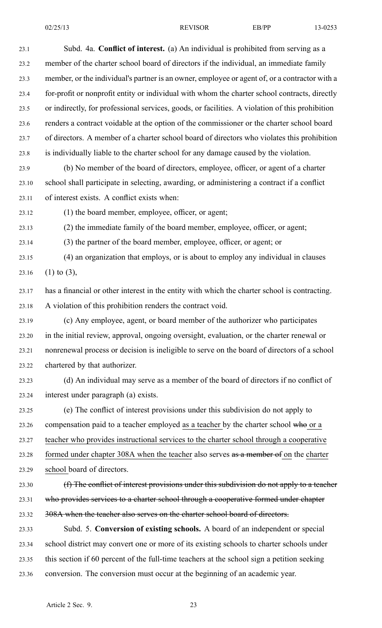| 23.1  | Subd. 4a. Conflict of interest. (a) An individual is prohibited from serving as a               |
|-------|-------------------------------------------------------------------------------------------------|
| 23.2  | member of the charter school board of directors if the individual, an immediate family          |
| 23.3  | member, or the individual's partner is an owner, employee or agent of, or a contractor with a   |
| 23.4  | for-profit or nonprofit entity or individual with whom the charter school contracts, directly   |
| 23.5  | or indirectly, for professional services, goods, or facilities. A violation of this prohibition |
| 23.6  | renders a contract voidable at the option of the commissioner or the charter school board       |
| 23.7  | of directors. A member of a charter school board of directors who violates this prohibition     |
| 23.8  | is individually liable to the charter school for any damage caused by the violation.            |
| 23.9  | (b) No member of the board of directors, employee, officer, or agent of a charter               |
| 23.10 | school shall participate in selecting, awarding, or administering a contract if a conflict      |
| 23.11 | of interest exists. A conflict exists when:                                                     |
| 23.12 | (1) the board member, employee, officer, or agent;                                              |
| 23.13 | (2) the immediate family of the board member, employee, officer, or agent;                      |
| 23.14 | (3) the partner of the board member, employee, officer, or agent; or                            |
| 23.15 | (4) an organization that employs, or is about to employ any individual in clauses               |
| 23.16 | $(1)$ to $(3)$ ,                                                                                |
| 23.17 | has a financial or other interest in the entity with which the charter school is contracting.   |
| 23.18 | A violation of this prohibition renders the contract void.                                      |
| 23.19 | (c) Any employee, agent, or board member of the authorizer who participates                     |
| 23.20 | in the initial review, approval, ongoing oversight, evaluation, or the charter renewal or       |
| 23.21 | nonrenewal process or decision is ineligible to serve on the board of directors of a school     |
| 23.22 | chartered by that authorizer.                                                                   |
| 23.23 | (d) An individual may serve as a member of the board of directors if no conflict of             |
| 23.24 | interest under paragraph (a) exists.                                                            |
| 23.25 | (e) The conflict of interest provisions under this subdivision do not apply to                  |
| 23.26 | compensation paid to a teacher employed as a teacher by the charter school who or a             |
| 23.27 | teacher who provides instructional services to the charter school through a cooperative         |
| 23.28 | formed under chapter 308A when the teacher also serves as a member of on the charter            |
| 23.29 | school board of directors.                                                                      |
| 23.30 | (f) The conflict of interest provisions under this subdivision do not apply to a teacher        |
| 23.31 | who provides services to a charter school through a cooperative formed under chapter            |
| 23.32 | 308A when the teacher also serves on the charter school board of directors.                     |
| 23.33 | Subd. 5. Conversion of existing schools. A board of an independent or special                   |
| 23.34 | school district may convert one or more of its existing schools to charter schools under        |
| 23.35 | this section if 60 percent of the full-time teachers at the school sign a petition seeking      |
| 23.36 | conversion. The conversion must occur at the beginning of an academic year.                     |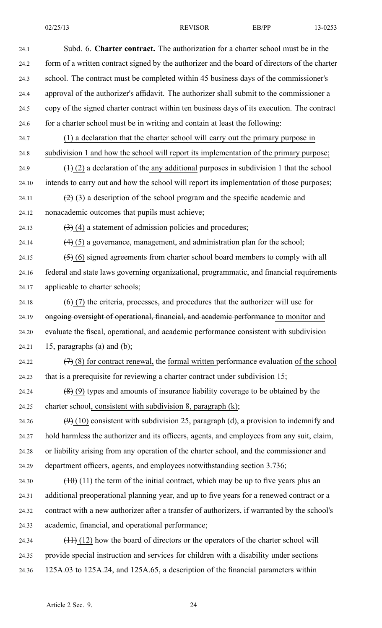| 24.1  | Subd. 6. Charter contract. The authorization for a charter school must be in the              |
|-------|-----------------------------------------------------------------------------------------------|
| 24.2  | form of a written contract signed by the authorizer and the board of directors of the charter |
| 24.3  | school. The contract must be completed within 45 business days of the commissioner's          |
| 24.4  | approval of the authorizer's affidavit. The authorizer shall submit to the commissioner a     |
| 24.5  | copy of the signed charter contract within ten business days of its execution. The contract   |
| 24.6  | for a charter school must be in writing and contain at least the following:                   |
| 24.7  | (1) a declaration that the charter school will carry out the primary purpose in               |
| 24.8  | subdivision 1 and how the school will report its implementation of the primary purpose;       |
| 24.9  | $(1)$ (2) a declaration of the any additional purposes in subdivision 1 that the school       |
| 24.10 | intends to carry out and how the school will report its implementation of those purposes;     |
| 24.11 | $(2)$ (3) a description of the school program and the specific academic and                   |
| 24.12 | nonacademic outcomes that pupils must achieve;                                                |
| 24.13 | $(3)$ (4) a statement of admission policies and procedures;                                   |
| 24.14 | $\left(4\right)$ (5) a governance, management, and administration plan for the school;        |
| 24.15 | $(5)$ (6) signed agreements from charter school board members to comply with all              |
| 24.16 | federal and state laws governing organizational, programmatic, and financial requirements     |
| 24.17 | applicable to charter schools;                                                                |
| 24.18 | $(6)$ (7) the criteria, processes, and procedures that the authorizer will use for            |
| 24.19 | ongoing oversight of operational, financial, and academic performance to monitor and          |
| 24.20 | evaluate the fiscal, operational, and academic performance consistent with subdivision        |
| 24.21 | 15, paragraphs (a) and (b);                                                                   |
| 24.22 | $(7)$ (8) for contract renewal, the formal written performance evaluation of the school       |
| 24.23 | that is a prerequisite for reviewing a charter contract under subdivision 15;                 |
| 24.24 | $(8)$ (9) types and amounts of insurance liability coverage to be obtained by the             |
| 24.25 | charter school, consistent with subdivision 8, paragraph (k);                                 |
| 24.26 | $(9)$ (10) consistent with subdivision 25, paragraph (d), a provision to indemnify and        |
| 24.27 | hold harmless the authorizer and its officers, agents, and employees from any suit, claim,    |
| 24.28 | or liability arising from any operation of the charter school, and the commissioner and       |
| 24.29 | department officers, agents, and employees notwithstanding section 3.736;                     |
| 24.30 | $(10)(11)$ the term of the initial contract, which may be up to five years plus an            |
| 24.31 | additional preoperational planning year, and up to five years for a renewed contract or a     |
| 24.32 | contract with a new authorizer after a transfer of authorizers, if warranted by the school's  |
| 24.33 | academic, financial, and operational performance;                                             |
| 24.34 | $(11)$ (12) how the board of directors or the operators of the charter school will            |
| 24.35 | provide special instruction and services for children with a disability under sections        |
| 24.36 | 125A.03 to 125A.24, and 125A.65, a description of the financial parameters within             |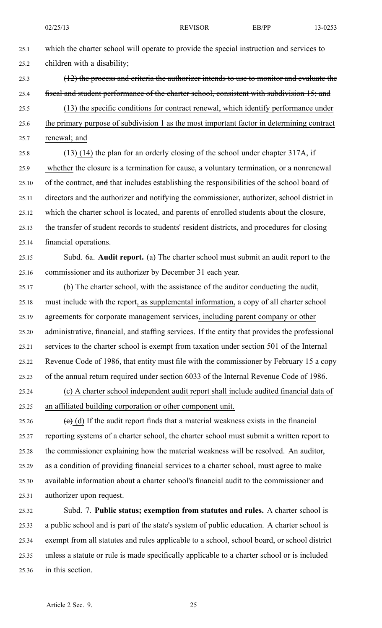25.1 which the charter school will operate to provide the special instruction and services to 25.2 children with <sup>a</sup> disability;

- 25.3 (12) the process and criteria the authorizer intends to use to monitor and evaluate the 25.4 fiscal and student performance of the charter school, consistent with subdivision 15; and 25.5 (13) the specific conditions for contract renewal, which identify performance under 25.6 the primary purpose of subdivision 1 as the most important factor in determining contract
- 25.7 renewal; and

25.8  $(13)$  (14) the plan for an orderly closing of the school under chapter 317A, if 25.9 whether the closure is <sup>a</sup> termination for cause, <sup>a</sup> voluntary termination, or <sup>a</sup> nonrenewal 25.10 of the contract, and that includes establishing the responsibilities of the school board of 25.11 directors and the authorizer and notifying the commissioner, authorizer, school district in 25.12 which the charter school is located, and parents of enrolled students about the closure, 25.13 the transfer of student records to students' resident districts, and procedures for closing 25.14 financial operations.

- 25.15 Subd. 6a. **Audit report.** (a) The charter school must submit an audit repor<sup>t</sup> to the 25.16 commissioner and its authorizer by December 31 each year.
- 25.17 (b) The charter school, with the assistance of the auditor conducting the audit, 25.18 must include with the report, as supplemental information, <sup>a</sup> copy of all charter school 25.19 agreements for corporate managemen<sup>t</sup> services, including paren<sup>t</sup> company or other 25.20 administrative, financial, and staffing services. If the entity that provides the professional 25.21 services to the charter school is exemp<sup>t</sup> from taxation under section 501 of the Internal 25.22 Revenue Code of 1986, that entity must file with the commissioner by February 15 <sup>a</sup> copy 25.23 of the annual return required under section 6033 of the Internal Revenue Code of 1986.
- 25.24 (c) A charter school independent audit repor<sup>t</sup> shall include audited financial data of 25.25 an affiliated building corporation or other componen<sup>t</sup> unit.

25.26 (c) (d) If the audit report finds that a material weakness exists in the financial 25.27 reporting systems of <sup>a</sup> charter school, the charter school must submit <sup>a</sup> written repor<sup>t</sup> to 25.28 the commissioner explaining how the material weakness will be resolved. An auditor, 25.29 as <sup>a</sup> condition of providing financial services to <sup>a</sup> charter school, must agree to make 25.30 available information about <sup>a</sup> charter school's financial audit to the commissioner and 25.31 authorizer upon request.

25.32 Subd. 7. **Public status; exemption from statutes and rules.** A charter school is 25.33 <sup>a</sup> public school and is par<sup>t</sup> of the state's system of public education. A charter school is 25.34 exemp<sup>t</sup> from all statutes and rules applicable to <sup>a</sup> school, school board, or school district 25.35 unless <sup>a</sup> statute or rule is made specifically applicable to <sup>a</sup> charter school or is included 25.36 in this section.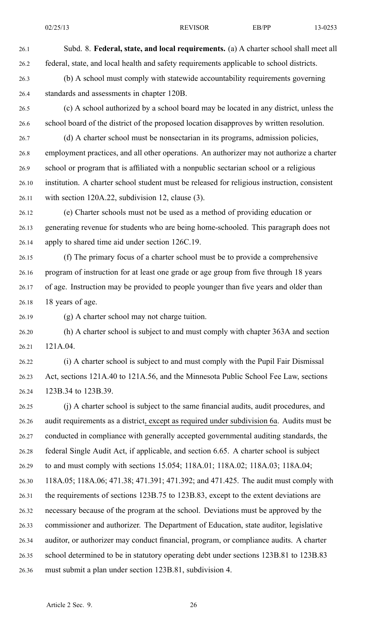26.1 Subd. 8. **Federal, state, and local requirements.** (a) A charter school shall meet all 26.2 federal, state, and local health and safety requirements applicable to school districts. 26.3 (b) A school must comply with statewide accountability requirements governing 26.4 standards and assessments in chapter 120B. 26.5 (c) A school authorized by <sup>a</sup> school board may be located in any district, unless the

26.6 school board of the district of the proposed location disapproves by written resolution.

26.7 (d) A charter school must be nonsectarian in its programs, admission policies, 26.8 employment practices, and all other operations. An authorizer may not authorize <sup>a</sup> charter 26.9 school or program that is affiliated with <sup>a</sup> nonpublic sectarian school or <sup>a</sup> religious 26.10 institution. A charter school student must be released for religious instruction, consistent 26.11 with section 120A.22, subdivision 12, clause (3).

26.12 (e) Charter schools must not be used as <sup>a</sup> method of providing education or 26.13 generating revenue for students who are being home-schooled. This paragraph does not 26.14 apply to shared time aid under section 126C.19.

26.15 (f) The primary focus of <sup>a</sup> charter school must be to provide <sup>a</sup> comprehensive 26.16 program of instruction for at least one grade or age group from five through 18 years 26.17 of age. Instruction may be provided to people younger than five years and older than 26.18 18 years of age.

26.19 (g) A charter school may not charge tuition.

26.20 (h) A charter school is subject to and must comply with chapter 363A and section 26.21 121A.04.

26.22 (i) A charter school is subject to and must comply with the Pupil Fair Dismissal 26.23 Act, sections 121A.40 to 121A.56, and the Minnesota Public School Fee Law, sections 26.24 123B.34 to 123B.39.

26.25 (j) A charter school is subject to the same financial audits, audit procedures, and 26.26 audit requirements as <sup>a</sup> district, excep<sup>t</sup> as required under subdivision 6a. Audits must be 26.27 conducted in compliance with generally accepted governmental auditing standards, the 26.28 federal Single Audit Act, if applicable, and section 6.65. A charter school is subject 26.29 to and must comply with sections 15.054; 118A.01; 118A.02; 118A.03; 118A.04; 26.30 118A.05; 118A.06; 471.38; 471.391; 471.392; and 471.425. The audit must comply with 26.31 the requirements of sections 123B.75 to 123B.83, excep<sup>t</sup> to the extent deviations are 26.32 necessary because of the program at the school. Deviations must be approved by the 26.33 commissioner and authorizer. The Department of Education, state auditor, legislative 26.34 auditor, or authorizer may conduct financial, program, or compliance audits. A charter 26.35 school determined to be in statutory operating debt under sections 123B.81 to 123B.83 26.36 must submit <sup>a</sup> plan under section 123B.81, subdivision 4.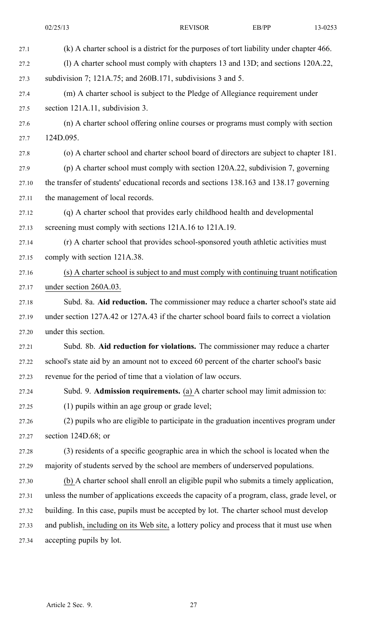02/25/13 REVISOR EB/PP 13-0253 27.1 (k) A charter school is <sup>a</sup> district for the purposes of tort liability under chapter 466. 27.2 (l) A charter school must comply with chapters 13 and 13D; and sections 120A.22, 27.3 subdivision 7; 121A.75; and 260B.171, subdivisions 3 and 5. 27.4 (m) A charter school is subject to the Pledge of Allegiance requirement under 27.5 section 121A.11, subdivision 3. 27.6 (n) A charter school offering online courses or programs must comply with section 27.7 124D.095. 27.8 (o) A charter school and charter school board of directors are subject to chapter 181. 27.9 (p) A charter school must comply with section 120A.22, subdivision 7, governing 27.10 the transfer of students' educational records and sections 138.163 and 138.17 governing 27.11 the managemen<sup>t</sup> of local records. 27.12 (q) A charter school that provides early childhood health and developmental 27.13 screening must comply with sections 121A.16 to 121A.19. 27.14 (r) A charter school that provides school-sponsored youth athletic activities must 27.15 comply with section 121A.38. 27.16 (s) A charter school is subject to and must comply with continuing truant notification 27.17 under section 260A.03. 27.18 Subd. 8a. **Aid reduction.** The commissioner may reduce <sup>a</sup> charter school's state aid 27.19 under section 127A.42 or 127A.43 if the charter school board fails to correct <sup>a</sup> violation 27.20 under this section. 27.21 Subd. 8b. **Aid reduction for violations.** The commissioner may reduce <sup>a</sup> charter 27.22 school's state aid by an amount not to exceed 60 percen<sup>t</sup> of the charter school's basic 27.23 revenue for the period of time that <sup>a</sup> violation of law occurs. 27.24 Subd. 9. **Admission requirements.** (a) A charter school may limit admission to: 27.25 (1) pupils within an age group or grade level; 27.26 (2) pupils who are eligible to participate in the graduation incentives program under 27.27 section 124D.68; or 27.28 (3) residents of <sup>a</sup> specific geographic area in which the school is located when the 27.29 majority of students served by the school are members of underserved populations. 27.30 (b) A charter school shall enroll an eligible pupil who submits <sup>a</sup> timely application, 27.31 unless the number of applications exceeds the capacity of <sup>a</sup> program, class, grade level, or 27.32 building. In this case, pupils must be accepted by lot. The charter school must develop 27.33 and publish, including on its Web site, <sup>a</sup> lottery policy and process that it must use when 27.34 accepting pupils by lot.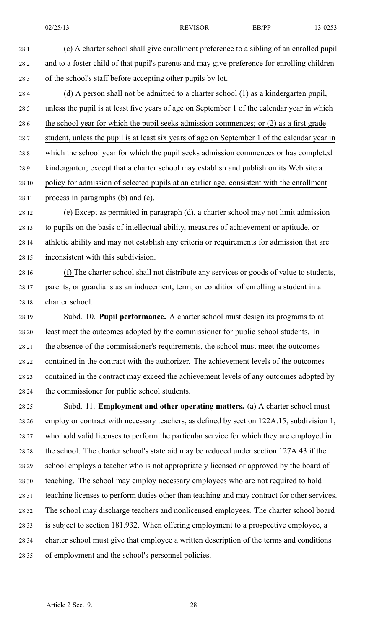- 28.1 (c) A charter school shall give enrollment preference to <sup>a</sup> sibling of an enrolled pupil 28.2 and to <sup>a</sup> foster child of that pupil's parents and may give preference for enrolling children 28.3 of the school's staff before accepting other pupils by lot.
- 28.4 (d) A person shall not be admitted to <sup>a</sup> charter school (1) as <sup>a</sup> kindergarten pupil, 28.5 unless the pupil is at least five years of age on September 1 of the calendar year in which 28.6 the school year for which the pupil seeks admission commences; or (2) as <sup>a</sup> first grade 28.7 student, unless the pupil is at least six years of age on September 1 of the calendar year in 28.8 which the school year for which the pupil seeks admission commences or has completed 28.9 kindergarten; excep<sup>t</sup> that <sup>a</sup> charter school may establish and publish on its Web site <sup>a</sup> 28.10 policy for admission of selected pupils at an earlier age, consistent with the enrollment 28.11 process in paragraphs (b) and (c).
- 28.12 (e) Except as permitted in paragraph (d), <sup>a</sup> charter school may not limit admission 28.13 to pupils on the basis of intellectual ability, measures of achievement or aptitude, or 28.14 athletic ability and may not establish any criteria or requirements for admission that are 28.15 inconsistent with this subdivision.
- 28.16 (f) The charter school shall not distribute any services or goods of value to students, 28.17 parents, or guardians as an inducement, term, or condition of enrolling <sup>a</sup> student in <sup>a</sup> 28.18 charter school.
- 28.19 Subd. 10. **Pupil performance.** A charter school must design its programs to at 28.20 least meet the outcomes adopted by the commissioner for public school students. In 28.21 the absence of the commissioner's requirements, the school must meet the outcomes 28.22 contained in the contract with the authorizer. The achievement levels of the outcomes 28.23 contained in the contract may exceed the achievement levels of any outcomes adopted by 28.24 the commissioner for public school students.
- 28.25 Subd. 11. **Employment and other operating matters.** (a) A charter school must 28.26 employ or contract with necessary teachers, as defined by section 122A.15, subdivision 1, 28.27 who hold valid licenses to perform the particular service for which they are employed in 28.28 the school. The charter school's state aid may be reduced under section 127A.43 if the 28.29 school employs <sup>a</sup> teacher who is not appropriately licensed or approved by the board of 28.30 teaching. The school may employ necessary employees who are not required to hold 28.31 teaching licenses to perform duties other than teaching and may contract for other services. 28.32 The school may discharge teachers and nonlicensed employees. The charter school board 28.33 is subject to section 181.932. When offering employment to <sup>a</sup> prospective employee, <sup>a</sup> 28.34 charter school must give that employee <sup>a</sup> written description of the terms and conditions 28.35 of employment and the school's personnel policies.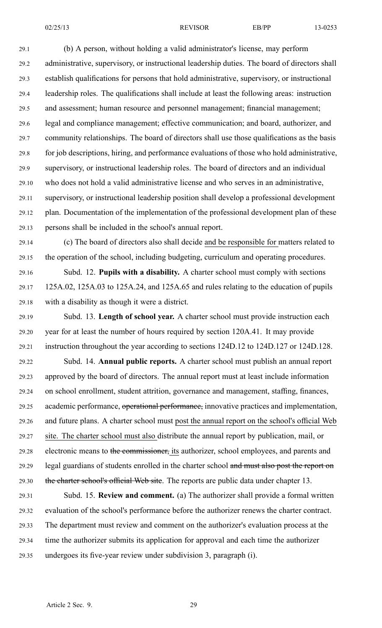29.1 (b) A person, without holding <sup>a</sup> valid administrator's license, may perform 29.2 administrative, supervisory, or instructional leadership duties. The board of directors shall 29.3 establish qualifications for persons that hold administrative, supervisory, or instructional 29.4 leadership roles. The qualifications shall include at least the following areas: instruction 29.5 and assessment; human resource and personnel management; financial management; 29.6 legal and compliance management; effective communication; and board, authorizer, and 29.7 community relationships. The board of directors shall use those qualifications as the basis 29.8 for job descriptions, hiring, and performance evaluations of those who hold administrative, 29.9 supervisory, or instructional leadership roles. The board of directors and an individual 29.10 who does not hold <sup>a</sup> valid administrative license and who serves in an administrative, 29.11 supervisory, or instructional leadership position shall develop <sup>a</sup> professional development 29.12 plan. Documentation of the implementation of the professional development plan of these 29.13 persons shall be included in the school's annual report.

29.14 (c) The board of directors also shall decide and be responsible for matters related to 29.15 the operation of the school, including budgeting, curriculum and operating procedures.

29.16 Subd. 12. **Pupils with <sup>a</sup> disability.** A charter school must comply with sections 29.17 125A.02, 125A.03 to 125A.24, and 125A.65 and rules relating to the education of pupils 29.18 with <sup>a</sup> disability as though it were <sup>a</sup> district.

29.19 Subd. 13. **Length of school year.** A charter school must provide instruction each 29.20 year for at least the number of hours required by section 120A.41. It may provide 29.21 instruction throughout the year according to sections 124D.12 to 124D.127 or 124D.128.

29.22 Subd. 14. **Annual public reports.** A charter school must publish an annual repor<sup>t</sup> 29.23 approved by the board of directors. The annual repor<sup>t</sup> must at least include information 29.24 on school enrollment, student attrition, governance and management, staffing, finances, 29.25 academic performance, operational performance, innovative practices and implementation, 29.26 and future plans. A charter school must pos<sup>t</sup> the annual repor<sup>t</sup> on the school's official Web 29.27 site. The charter school must also distribute the annual repor<sup>t</sup> by publication, mail, or 29.28 electronic means to the commissioner, its authorizer, school employees, and parents and 29.29 legal guardians of students enrolled in the charter school and must also post the report on 29.30 the charter school's official Web site. The reports are public data under chapter 13.

29.31 Subd. 15. **Review and comment.** (a) The authorizer shall provide <sup>a</sup> formal written 29.32 evaluation of the school's performance before the authorizer renews the charter contract. 29.33 The department must review and comment on the authorizer's evaluation process at the 29.34 time the authorizer submits its application for approval and each time the authorizer 29.35 undergoes its five-year review under subdivision 3, paragraph (i).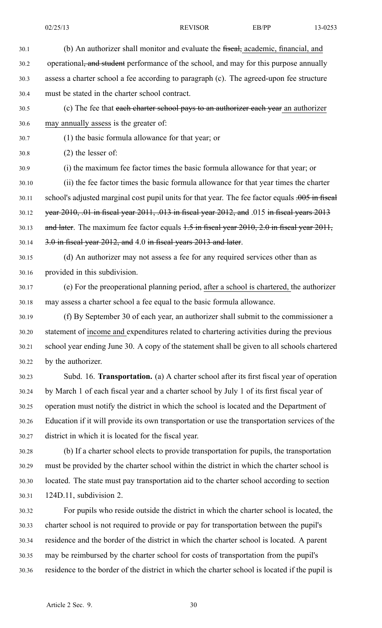30.1 (b) An authorizer shall monitor and evaluate the fiscal, academic, financial, and 30.2 operational, and student performance of the school, and may for this purpose annually 30.3 assess <sup>a</sup> charter school <sup>a</sup> fee according to paragraph (c). The agreed-upon fee structure 30.4 must be stated in the charter school contract. 30.5 (c) The fee that each charter school pays to an authorizer each year an authorizer 30.6 may annually assess is the greater of: 30.7 (1) the basic formula allowance for that year; or 30.8 (2) the lesser of: 30.9 (i) the maximum fee factor times the basic formula allowance for that year; or 30.10 (ii) the fee factor times the basic formula allowance for that year times the charter 30.11 school's adjusted marginal cost pupil units for that year. The fee factor equals .005 in fiscal 30.12 year 2010, .01 in fiscal year 2011, .013 in fiscal year 2012, and .015 in fiscal years 2013 30.13 and later. The maximum fee factor equals 1.5 in fiscal year 2010, 2.0 in fiscal year 2011,  $30.14$   $3.0$  in fiscal year 2012, and 4.0 in fiscal years 2013 and later. 30.15 (d) An authorizer may not assess <sup>a</sup> fee for any required services other than as 30.16 provided in this subdivision. 30.17 (e) For the preoperational planning period, after <sup>a</sup> school is chartered, the authorizer 30.18 may assess <sup>a</sup> charter school <sup>a</sup> fee equal to the basic formula allowance. 30.19 (f) By September 30 of each year, an authorizer shall submit to the commissioner <sup>a</sup> 30.20 statement of income and expenditures related to chartering activities during the previous 30.21 school year ending June 30. A copy of the statement shall be given to all schools chartered

30.23 Subd. 16. **Transportation.** (a) A charter school after its first fiscal year of operation 30.24 by March 1 of each fiscal year and <sup>a</sup> charter school by July 1 of its first fiscal year of 30.25 operation must notify the district in which the school is located and the Department of 30.26 Education if it will provide its own transportation or use the transportation services of the

30.28 (b) If <sup>a</sup> charter school elects to provide transportation for pupils, the transportation 30.29 must be provided by the charter school within the district in which the charter school is 30.30 located. The state must pay transportation aid to the charter school according to section 30.31 124D.11, subdivision 2.

30.32 For pupils who reside outside the district in which the charter school is located, the 30.33 charter school is not required to provide or pay for transportation between the pupil's 30.34 residence and the border of the district in which the charter school is located. A paren<sup>t</sup> 30.35 may be reimbursed by the charter school for costs of transportation from the pupil's 30.36 residence to the border of the district in which the charter school is located if the pupil is

30.22 by the authorizer.

30.27 district in which it is located for the fiscal year.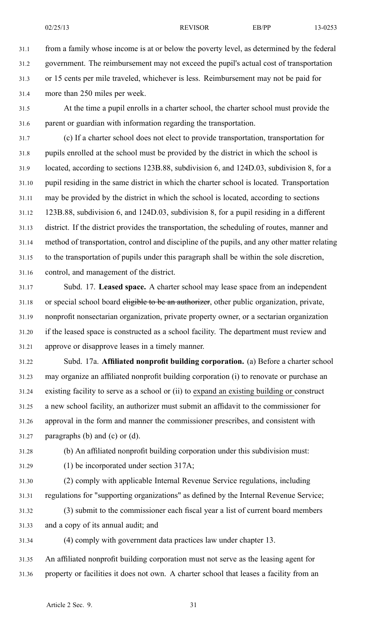31.1 from <sup>a</sup> family whose income is at or below the poverty level, as determined by the federal 31.2 government. The reimbursement may not exceed the pupil's actual cost of transportation 31.3 or 15 cents per mile traveled, whichever is less. Reimbursement may not be paid for 31.4 more than 250 miles per week.

31.5 At the time <sup>a</sup> pupil enrolls in <sup>a</sup> charter school, the charter school must provide the 31.6 paren<sup>t</sup> or guardian with information regarding the transportation.

31.7 (c) If <sup>a</sup> charter school does not elect to provide transportation, transportation for 31.8 pupils enrolled at the school must be provided by the district in which the school is 31.9 located, according to sections 123B.88, subdivision 6, and 124D.03, subdivision 8, for <sup>a</sup> 31.10 pupil residing in the same district in which the charter school is located. Transportation 31.11 may be provided by the district in which the school is located, according to sections 31.12 123B.88, subdivision 6, and 124D.03, subdivision 8, for <sup>a</sup> pupil residing in <sup>a</sup> different 31.13 district. If the district provides the transportation, the scheduling of routes, manner and 31.14 method of transportation, control and discipline of the pupils, and any other matter relating 31.15 to the transportation of pupils under this paragraph shall be within the sole discretion, 31.16 control, and managemen<sup>t</sup> of the district.

31.17 Subd. 17. **Leased space.** A charter school may lease space from an independent 31.18 or special school board eligible to be an authorizer, other public organization, private, 31.19 nonprofit nonsectarian organization, private property owner, or <sup>a</sup> sectarian organization 31.20 if the leased space is constructed as <sup>a</sup> school facility. The department must review and 31.21 approve or disapprove leases in <sup>a</sup> timely manner.

31.22 Subd. 17a. **Affiliated nonprofit building corporation.** (a) Before <sup>a</sup> charter school 31.23 may organize an affiliated nonprofit building corporation (i) to renovate or purchase an 31.24 existing facility to serve as <sup>a</sup> school or (ii) to expand an existing building or construct 31.25 <sup>a</sup> new school facility, an authorizer must submit an affidavit to the commissioner for 31.26 approval in the form and manner the commissioner prescribes, and consistent with 31.27 paragraphs (b) and (c) or (d).

31.28 (b) An affiliated nonprofit building corporation under this subdivision must:

31.29 (1) be incorporated under section 317A;

31.30 (2) comply with applicable Internal Revenue Service regulations, including 31.31 regulations for "supporting organizations" as defined by the Internal Revenue Service;

31.32 (3) submit to the commissioner each fiscal year <sup>a</sup> list of current board members 31.33 and <sup>a</sup> copy of its annual audit; and

31.34 (4) comply with governmen<sup>t</sup> data practices law under chapter 13.

31.35 An affiliated nonprofit building corporation must not serve as the leasing agen<sup>t</sup> for 31.36 property or facilities it does not own. A charter school that leases <sup>a</sup> facility from an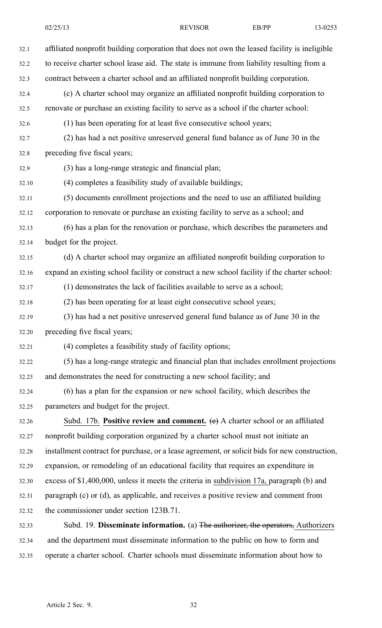32.1 affiliated nonprofit building corporation that does not own the leased facility is ineligible 32.2 to receive charter school lease aid. The state is immune from liability resulting from <sup>a</sup> 32.3 contract between <sup>a</sup> charter school and an affiliated nonprofit building corporation. 32.4 (c) A charter school may organize an affiliated nonprofit building corporation to 32.5 renovate or purchase an existing facility to serve as <sup>a</sup> school if the charter school: 32.6 (1) has been operating for at least five consecutive school years; 32.7 (2) has had <sup>a</sup> net positive unreserved general fund balance as of June 30 in the 32.8 preceding five fiscal years; 32.9 (3) has <sup>a</sup> long-range strategic and financial plan; 32.10 (4) completes <sup>a</sup> feasibility study of available buildings; 32.11 (5) documents enrollment projections and the need to use an affiliated building 32.12 corporation to renovate or purchase an existing facility to serve as <sup>a</sup> school; and 32.13 (6) has <sup>a</sup> plan for the renovation or purchase, which describes the parameters and 32.14 budget for the project. 32.15 (d) A charter school may organize an affiliated nonprofit building corporation to 32.16 expand an existing school facility or construct <sup>a</sup> new school facility if the charter school: 32.17 (1) demonstrates the lack of facilities available to serve as <sup>a</sup> school; 32.18 (2) has been operating for at least eight consecutive school years; 32.19 (3) has had <sup>a</sup> net positive unreserved general fund balance as of June 30 in the 32.20 preceding five fiscal years; 32.21 (4) completes <sup>a</sup> feasibility study of facility options; 32.22 (5) has <sup>a</sup> long-range strategic and financial plan that includes enrollment projections 32.23 and demonstrates the need for constructing <sup>a</sup> new school facility; and 32.24 (6) has <sup>a</sup> plan for the expansion or new school facility, which describes the 32.25 parameters and budget for the project. 32.26 Subd. 17b. **Positive review and comment.** (e) A charter school or an affiliated 32.27 nonprofit building corporation organized by <sup>a</sup> charter school must not initiate an 32.28 installment contract for purchase, or <sup>a</sup> lease agreement, or solicit bids for new construction, 32.29 expansion, or remodeling of an educational facility that requires an expenditure in 32.30 excess of \$1,400,000, unless it meets the criteria in subdivision 17a, paragraph (b) and 32.31 paragraph (c) or (d), as applicable, and receives <sup>a</sup> positive review and comment from 32.32 the commissioner under section 123B.71. 32.33 Subd. 19. **Disseminate information.** (a) The authorizer, the operators, Authorizers 32.34 and the department must disseminate information to the public on how to form and

32.35 operate <sup>a</sup> charter school. Charter schools must disseminate information about how to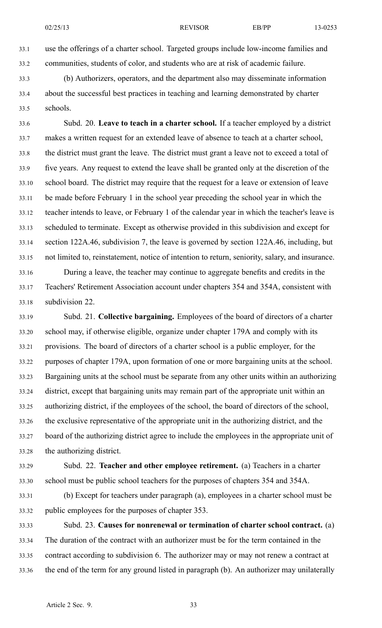33.1 use the offerings of <sup>a</sup> charter school. Targeted groups include low-income families and 33.2 communities, students of color, and students who are at risk of academic failure.

33.3 (b) Authorizers, operators, and the department also may disseminate information 33.4 about the successful best practices in teaching and learning demonstrated by charter 33.5 schools.

33.6 Subd. 20. **Leave to teach in <sup>a</sup> charter school.** If <sup>a</sup> teacher employed by <sup>a</sup> district 33.7 makes <sup>a</sup> written reques<sup>t</sup> for an extended leave of absence to teach at <sup>a</sup> charter school, 33.8 the district must gran<sup>t</sup> the leave. The district must gran<sup>t</sup> <sup>a</sup> leave not to exceed <sup>a</sup> total of 33.9 five years. Any reques<sup>t</sup> to extend the leave shall be granted only at the discretion of the 33.10 school board. The district may require that the reques<sup>t</sup> for <sup>a</sup> leave or extension of leave 33.11 be made before February 1 in the school year preceding the school year in which the 33.12 teacher intends to leave, or February 1 of the calendar year in which the teacher's leave is 33.13 scheduled to terminate. Except as otherwise provided in this subdivision and excep<sup>t</sup> for 33.14 section 122A.46, subdivision 7, the leave is governed by section 122A.46, including, but 33.15 not limited to, reinstatement, notice of intention to return, seniority, salary, and insurance. 33.16 During <sup>a</sup> leave, the teacher may continue to aggregate benefits and credits in the

33.17 Teachers' Retirement Association account under chapters 354 and 354A, consistent with 33.18 subdivision 22.

33.19 Subd. 21. **Collective bargaining.** Employees of the board of directors of <sup>a</sup> charter 33.20 school may, if otherwise eligible, organize under chapter 179A and comply with its 33.21 provisions. The board of directors of <sup>a</sup> charter school is <sup>a</sup> public employer, for the 33.22 purposes of chapter 179A, upon formation of one or more bargaining units at the school. 33.23 Bargaining units at the school must be separate from any other units within an authorizing 33.24 district, excep<sup>t</sup> that bargaining units may remain par<sup>t</sup> of the appropriate unit within an 33.25 authorizing district, if the employees of the school, the board of directors of the school, 33.26 the exclusive representative of the appropriate unit in the authorizing district, and the 33.27 board of the authorizing district agree to include the employees in the appropriate unit of 33.28 the authorizing district.

33.29 Subd. 22. **Teacher and other employee retirement.** (a) Teachers in <sup>a</sup> charter 33.30 school must be public school teachers for the purposes of chapters 354 and 354A.

33.31 (b) Except for teachers under paragraph (a), employees in <sup>a</sup> charter school must be 33.32 public employees for the purposes of chapter 353.

33.33 Subd. 23. **Causes for nonrenewal or termination of charter school contract.** (a) 33.34 The duration of the contract with an authorizer must be for the term contained in the 33.35 contract according to subdivision 6. The authorizer may or may not renew <sup>a</sup> contract at 33.36 the end of the term for any ground listed in paragraph (b). An authorizer may unilaterally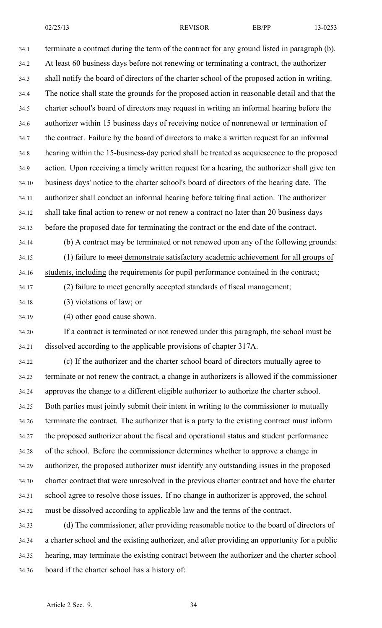02/25/13 REVISOR EB/PP 13-0253

34.1 terminate <sup>a</sup> contract during the term of the contract for any ground listed in paragraph (b). 34.2 At least 60 business days before not renewing or terminating <sup>a</sup> contract, the authorizer 34.3 shall notify the board of directors of the charter school of the proposed action in writing. 34.4 The notice shall state the grounds for the proposed action in reasonable detail and that the 34.5 charter school's board of directors may reques<sup>t</sup> in writing an informal hearing before the 34.6 authorizer within 15 business days of receiving notice of nonrenewal or termination of 34.7 the contract. Failure by the board of directors to make <sup>a</sup> written reques<sup>t</sup> for an informal 34.8 hearing within the 15-business-day period shall be treated as acquiescence to the proposed 34.9 action. Upon receiving <sup>a</sup> timely written reques<sup>t</sup> for <sup>a</sup> hearing, the authorizer shall give ten 34.10 business days' notice to the charter school's board of directors of the hearing date. The 34.11 authorizer shall conduct an informal hearing before taking final action. The authorizer 34.12 shall take final action to renew or not renew <sup>a</sup> contract no later than 20 business days 34.13 before the proposed date for terminating the contract or the end date of the contract. 34.14 (b) A contract may be terminated or not renewed upon any of the following grounds:

34.15 (1) failure to meet demonstrate satisfactory academic achievement for all groups of 34.16 students, including the requirements for pupil performance contained in the contract;

34.17 (2) failure to meet generally accepted standards of fiscal management;

34.18 (3) violations of law; or

34.19 (4) other good cause shown.

34.20 If <sup>a</sup> contract is terminated or not renewed under this paragraph, the school must be 34.21 dissolved according to the applicable provisions of chapter 317A.

34.22 (c) If the authorizer and the charter school board of directors mutually agree to 34.23 terminate or not renew the contract, <sup>a</sup> change in authorizers is allowed if the commissioner 34.24 approves the change to <sup>a</sup> different eligible authorizer to authorize the charter school. 34.25 Both parties must jointly submit their intent in writing to the commissioner to mutually 34.26 terminate the contract. The authorizer that is <sup>a</sup> party to the existing contract must inform 34.27 the proposed authorizer about the fiscal and operational status and student performance 34.28 of the school. Before the commissioner determines whether to approve <sup>a</sup> change in 34.29 authorizer, the proposed authorizer must identify any outstanding issues in the proposed 34.30 charter contract that were unresolved in the previous charter contract and have the charter 34.31 school agree to resolve those issues. If no change in authorizer is approved, the school 34.32 must be dissolved according to applicable law and the terms of the contract.

34.33 (d) The commissioner, after providing reasonable notice to the board of directors of 34.34 <sup>a</sup> charter school and the existing authorizer, and after providing an opportunity for <sup>a</sup> public 34.35 hearing, may terminate the existing contract between the authorizer and the charter school 34.36 board if the charter school has <sup>a</sup> history of: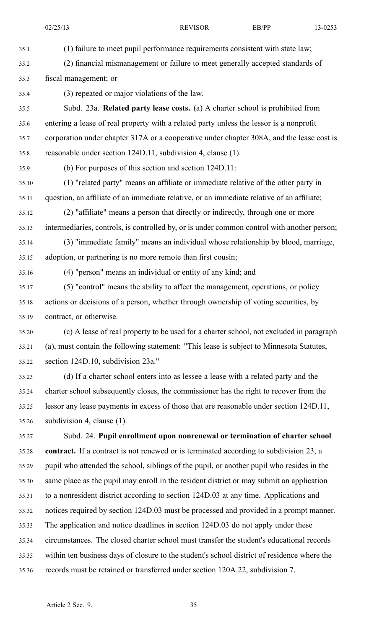35.3 fiscal management; or

35.1 (1) failure to meet pupil performance requirements consistent with state law;

35.2 (2) financial mismanagement or failure to meet generally accepted standards of

| 35.4  | (3) repeated or major violations of the law.                                                |
|-------|---------------------------------------------------------------------------------------------|
| 35.5  | Subd. 23a. Related party lease costs. (a) A charter school is prohibited from               |
| 35.6  | entering a lease of real property with a related party unless the lessor is a nonprofit     |
| 35.7  | corporation under chapter 317A or a cooperative under chapter 308A, and the lease cost is   |
| 35.8  | reasonable under section 124D.11, subdivision 4, clause (1).                                |
| 35.9  | (b) For purposes of this section and section 124D.11:                                       |
| 35.10 | (1) "related party" means an affiliate or immediate relative of the other party in          |
| 35.11 | question, an affiliate of an immediate relative, or an immediate relative of an affiliate;  |
| 35.12 | (2) "affiliate" means a person that directly or indirectly, through one or more             |
| 35.13 | intermediaries, controls, is controlled by, or is under common control with another person; |
| 35.14 | (3) "immediate family" means an individual whose relationship by blood, marriage,           |
| 35.15 | adoption, or partnering is no more remote than first cousin;                                |
| 35.16 | (4) "person" means an individual or entity of any kind; and                                 |
| 35.17 | (5) "control" means the ability to affect the management, operations, or policy             |
| 35.18 | actions or decisions of a person, whether through ownership of voting securities, by        |
| 35.19 | contract, or otherwise.                                                                     |
| 35.20 | (c) A lease of real property to be used for a charter school, not excluded in paragraph     |
| 35.21 | (a), must contain the following statement: "This lease is subject to Minnesota Statutes,    |
| 35.22 | section 124D.10, subdivision 23a."                                                          |
| 35.23 | (d) If a charter school enters into as lessee a lease with a related party and the          |
| 35.24 | charter school subsequently closes, the commissioner has the right to recover from the      |
| 35.25 | lessor any lease payments in excess of those that are reasonable under section 124D.11,     |
| 35.26 | subdivision 4, clause $(1)$ .                                                               |
| 35.27 | Subd. 24. Pupil enrollment upon nonrenewal or termination of charter school                 |
| 35.28 | contract. If a contract is not renewed or is terminated according to subdivision 23, a      |
| 35.29 | pupil who attended the school, siblings of the pupil, or another pupil who resides in the   |
| 35.30 | same place as the pupil may enroll in the resident district or may submit an application    |
| 35.31 | to a nonresident district according to section 124D.03 at any time. Applications and        |
| 35.32 | notices required by section 124D.03 must be processed and provided in a prompt manner.      |
| 35.33 | The application and notice deadlines in section 124D.03 do not apply under these            |
| 35.34 | circumstances. The closed charter school must transfer the student's educational records    |
| 35.35 | within ten business days of closure to the student's school district of residence where the |
| 35.36 | records must be retained or transferred under section 120A.22, subdivision 7.               |
|       |                                                                                             |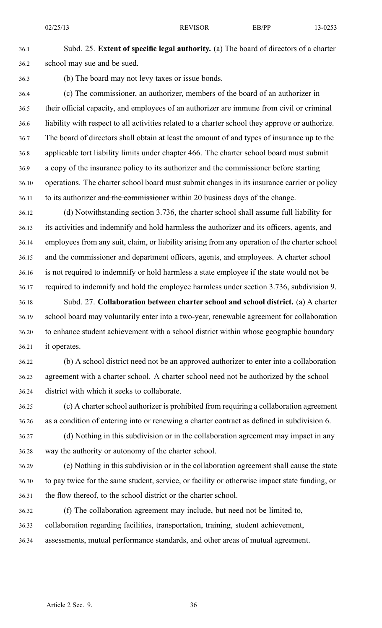36.1 Subd. 25. **Extent of specific legal authority.** (a) The board of directors of <sup>a</sup> charter 36.2 school may sue and be sued.

36.3 (b) The board may not levy taxes or issue bonds.

36.4 (c) The commissioner, an authorizer, members of the board of an authorizer in 36.5 their official capacity, and employees of an authorizer are immune from civil or criminal 36.6 liability with respec<sup>t</sup> to all activities related to <sup>a</sup> charter school they approve or authorize. 36.7 The board of directors shall obtain at least the amount of and types of insurance up to the 36.8 applicable tort liability limits under chapter 466. The charter school board must submit 36.9 a copy of the insurance policy to its authorizer and the commissioner before starting 36.10 operations. The charter school board must submit changes in its insurance carrier or policy 36.11 to its authorizer and the commissioner within 20 business days of the change.

36.12 (d) Notwithstanding section 3.736, the charter school shall assume full liability for 36.13 its activities and indemnify and hold harmless the authorizer and its officers, agents, and 36.14 employees from any suit, claim, or liability arising from any operation of the charter school 36.15 and the commissioner and department officers, agents, and employees. A charter school 36.16 is not required to indemnify or hold harmless <sup>a</sup> state employee if the state would not be 36.17 required to indemnify and hold the employee harmless under section 3.736, subdivision 9.

36.18 Subd. 27. **Collaboration between charter school and school district.** (a) A charter 36.19 school board may voluntarily enter into <sup>a</sup> two-year, renewable agreemen<sup>t</sup> for collaboration 36.20 to enhance student achievement with <sup>a</sup> school district within whose geographic boundary 36.21 it operates.

36.22 (b) A school district need not be an approved authorizer to enter into <sup>a</sup> collaboration 36.23 agreemen<sup>t</sup> with <sup>a</sup> charter school. A charter school need not be authorized by the school 36.24 district with which it seeks to collaborate.

36.25 (c) A charter school authorizer is prohibited from requiring <sup>a</sup> collaboration agreemen<sup>t</sup> 36.26 as <sup>a</sup> condition of entering into or renewing <sup>a</sup> charter contract as defined in subdivision 6.

36.27 (d) Nothing in this subdivision or in the collaboration agreemen<sup>t</sup> may impact in any 36.28 way the authority or autonomy of the charter school.

36.29 (e) Nothing in this subdivision or in the collaboration agreemen<sup>t</sup> shall cause the state 36.30 to pay twice for the same student, service, or facility or otherwise impact state funding, or 36.31 the flow thereof, to the school district or the charter school.

36.32 (f) The collaboration agreemen<sup>t</sup> may include, but need not be limited to, 36.33 collaboration regarding facilities, transportation, training, student achievement, 36.34 assessments, mutual performance standards, and other areas of mutual agreement.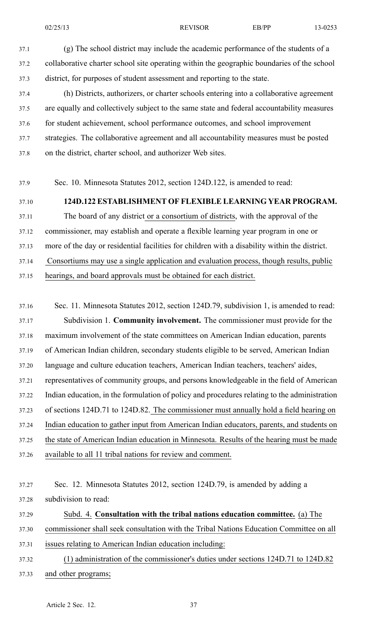37.1 (g) The school district may include the academic performance of the students of <sup>a</sup> 37.2 collaborative charter school site operating within the geographic boundaries of the school 37.3 district, for purposes of student assessment and reporting to the state.

37.4 (h) Districts, authorizers, or charter schools entering into <sup>a</sup> collaborative agreemen<sup>t</sup> 37.5 are equally and collectively subject to the same state and federal accountability measures 37.6 for student achievement, school performance outcomes, and school improvement 37.7 strategies. The collaborative agreemen<sup>t</sup> and all accountability measures must be posted 37.8 on the district, charter school, and authorizer Web sites.

37.9 Sec. 10. Minnesota Statutes 2012, section 124D.122, is amended to read:

# 37.10 **124D.122 ESTABLISHMENT OF FLEXIBLE LEARNING YEAR PROGRAM.**

37.11 The board of any district or <sup>a</sup> consortium of districts, with the approval of the 37.12 commissioner, may establish and operate <sup>a</sup> flexible learning year program in one or 37.13 more of the day or residential facilities for children with <sup>a</sup> disability within the district. 37.14 Consortiums may use <sup>a</sup> single application and evaluation process, though results, public 37.15 hearings, and board approvals must be obtained for each district.

37.16 Sec. 11. Minnesota Statutes 2012, section 124D.79, subdivision 1, is amended to read:

37.17 Subdivision 1. **Community involvement.** The commissioner must provide for the 37.18 maximum involvement of the state committees on American Indian education, parents 37.19 of American Indian children, secondary students eligible to be served, American Indian 37.20 language and culture education teachers, American Indian teachers, teachers' aides, 37.21 representatives of community groups, and persons knowledgeable in the field of American 37.22 Indian education, in the formulation of policy and procedures relating to the administration 37.23 of sections 124D.71 to 124D.82. The commissioner must annually hold <sup>a</sup> field hearing on 37.24 Indian education to gather input from American Indian educators, parents, and students on 37.25 the state of American Indian education in Minnesota. Results of the hearing must be made 37.26 available to all 11 tribal nations for review and comment.

37.27 Sec. 12. Minnesota Statutes 2012, section 124D.79, is amended by adding <sup>a</sup> 37.28 subdivision to read:

37.29 Subd. 4. **Consultation with the tribal nations education committee.** (a) The 37.30 commissioner shall seek consultation with the Tribal Nations Education Committee on all 37.31 issues relating to American Indian education including:

37.32 (1) administration of the commissioner's duties under sections 124D.71 to 124D.82 37.33 and other programs;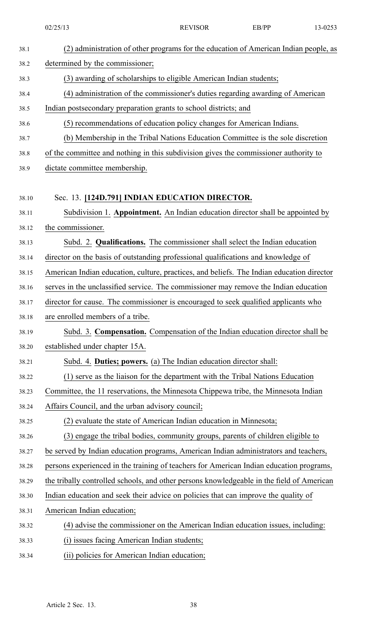|       | 02/25/13                                                                                  | <b>REVISOR</b>                                                                       | EB/PP | 13-0253 |  |
|-------|-------------------------------------------------------------------------------------------|--------------------------------------------------------------------------------------|-------|---------|--|
| 38.1  |                                                                                           | (2) administration of other programs for the education of American Indian people, as |       |         |  |
| 38.2  | determined by the commissioner;                                                           |                                                                                      |       |         |  |
| 38.3  | (3) awarding of scholarships to eligible American Indian students;                        |                                                                                      |       |         |  |
| 38.4  |                                                                                           | (4) administration of the commissioner's duties regarding awarding of American       |       |         |  |
| 38.5  | Indian postsecondary preparation grants to school districts; and                          |                                                                                      |       |         |  |
| 38.6  |                                                                                           | (5) recommendations of education policy changes for American Indians.                |       |         |  |
| 38.7  |                                                                                           | (b) Membership in the Tribal Nations Education Committee is the sole discretion      |       |         |  |
| 38.8  | of the committee and nothing in this subdivision gives the commissioner authority to      |                                                                                      |       |         |  |
| 38.9  | dictate committee membership.                                                             |                                                                                      |       |         |  |
| 38.10 | Sec. 13. [124D.791] INDIAN EDUCATION DIRECTOR.                                            |                                                                                      |       |         |  |
| 38.11 |                                                                                           | Subdivision 1. Appointment. An Indian education director shall be appointed by       |       |         |  |
| 38.12 | the commissioner.                                                                         |                                                                                      |       |         |  |
| 38.13 |                                                                                           | Subd. 2. Qualifications. The commissioner shall select the Indian education          |       |         |  |
| 38.14 | director on the basis of outstanding professional qualifications and knowledge of         |                                                                                      |       |         |  |
| 38.15 | American Indian education, culture, practices, and beliefs. The Indian education director |                                                                                      |       |         |  |
| 38.16 | serves in the unclassified service. The commissioner may remove the Indian education      |                                                                                      |       |         |  |
| 38.17 | director for cause. The commissioner is encouraged to seek qualified applicants who       |                                                                                      |       |         |  |
| 38.18 | are enrolled members of a tribe.                                                          |                                                                                      |       |         |  |
| 38.19 |                                                                                           | Subd. 3. Compensation. Compensation of the Indian education director shall be        |       |         |  |
| 38.20 | established under chapter 15A.                                                            |                                                                                      |       |         |  |
| 38.21 |                                                                                           | Subd. 4. Duties; powers. (a) The Indian education director shall:                    |       |         |  |
| 38.22 |                                                                                           | (1) serve as the liaison for the department with the Tribal Nations Education        |       |         |  |
| 38.23 | Committee, the 11 reservations, the Minnesota Chippewa tribe, the Minnesota Indian        |                                                                                      |       |         |  |
| 38.24 | Affairs Council, and the urban advisory council;                                          |                                                                                      |       |         |  |
| 38.25 |                                                                                           | (2) evaluate the state of American Indian education in Minnesota;                    |       |         |  |
| 38.26 |                                                                                           | (3) engage the tribal bodies, community groups, parents of children eligible to      |       |         |  |
| 38.27 | be served by Indian education programs, American Indian administrators and teachers,      |                                                                                      |       |         |  |
| 38.28 | persons experienced in the training of teachers for American Indian education programs,   |                                                                                      |       |         |  |
| 38.29 | the tribally controlled schools, and other persons knowledgeable in the field of American |                                                                                      |       |         |  |
| 38.30 | Indian education and seek their advice on policies that can improve the quality of        |                                                                                      |       |         |  |
| 38.31 | American Indian education;                                                                |                                                                                      |       |         |  |
| 38.32 |                                                                                           | (4) advise the commissioner on the American Indian education issues, including:      |       |         |  |
| 38.33 | (i) issues facing American Indian students;                                               |                                                                                      |       |         |  |
| 38.34 | (ii) policies for American Indian education;                                              |                                                                                      |       |         |  |
|       |                                                                                           |                                                                                      |       |         |  |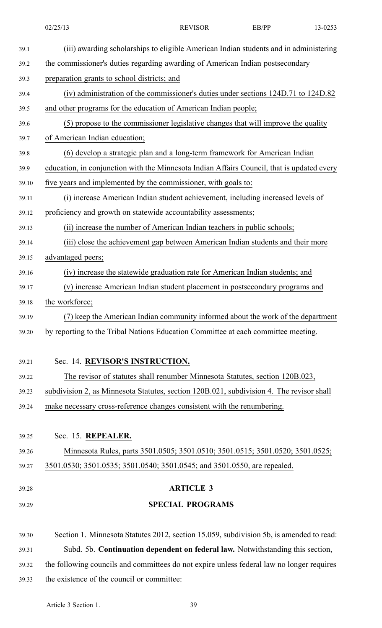| 02/25/13                                                                                   | <b>REVISOR</b>                                                                        | EB/PP | 13-0253 |
|--------------------------------------------------------------------------------------------|---------------------------------------------------------------------------------------|-------|---------|
|                                                                                            | (iii) awarding scholarships to eligible American Indian students and in administering |       |         |
| the commissioner's duties regarding awarding of American Indian postsecondary              |                                                                                       |       |         |
| preparation grants to school districts; and                                                |                                                                                       |       |         |
|                                                                                            | (iv) administration of the commissioner's duties under sections 124D.71 to 124D.82    |       |         |
| and other programs for the education of American Indian people;                            |                                                                                       |       |         |
|                                                                                            | (5) propose to the commissioner legislative changes that will improve the quality     |       |         |
| of American Indian education;                                                              |                                                                                       |       |         |
|                                                                                            | (6) develop a strategic plan and a long-term framework for American Indian            |       |         |
| education, in conjunction with the Minnesota Indian Affairs Council, that is updated every |                                                                                       |       |         |
| five years and implemented by the commissioner, with goals to:                             |                                                                                       |       |         |
|                                                                                            | (i) increase American Indian student achievement, including increased levels of       |       |         |
| proficiency and growth on statewide accountability assessments;                            |                                                                                       |       |         |
|                                                                                            | (ii) increase the number of American Indian teachers in public schools;               |       |         |
|                                                                                            | (iii) close the achievement gap between American Indian students and their more       |       |         |
| advantaged peers;                                                                          |                                                                                       |       |         |
|                                                                                            | (iv) increase the statewide graduation rate for American Indian students; and         |       |         |
|                                                                                            | (v) increase American Indian student placement in postsecondary programs and          |       |         |
| the workforce;                                                                             |                                                                                       |       |         |
|                                                                                            | (7) keep the American Indian community informed about the work of the department      |       |         |
| by reporting to the Tribal Nations Education Committee at each committee meeting.          |                                                                                       |       |         |
| Sec. 14. REVISOR'S INSTRUCTION.                                                            |                                                                                       |       |         |
|                                                                                            | The revisor of statutes shall renumber Minnesota Statutes, section 120B.023,          |       |         |
| subdivision 2, as Minnesota Statutes, section 120B.021, subdivision 4. The revisor shall   |                                                                                       |       |         |
| make necessary cross-reference changes consistent with the renumbering.                    |                                                                                       |       |         |
|                                                                                            |                                                                                       |       |         |
| Sec. 15. REPEALER.                                                                         |                                                                                       |       |         |
|                                                                                            | Minnesota Rules, parts 3501.0505; 3501.0510; 3501.0515; 3501.0520; 3501.0525;         |       |         |
| 3501.0530; 3501.0535; 3501.0540; 3501.0545; and 3501.0550, are repealed.                   |                                                                                       |       |         |
|                                                                                            | <b>ARTICLE 3</b>                                                                      |       |         |
|                                                                                            | <b>SPECIAL PROGRAMS</b>                                                               |       |         |
| Section 1. Minnesota Statutes 2012, section 15.059, subdivision 5b, is amended to read:    |                                                                                       |       |         |
|                                                                                            | Subd. 5b. Continuation dependent on federal law. Notwithstanding this section,        |       |         |
| the following councils and committees do not expire unless federal law no longer requires  |                                                                                       |       |         |
| the existence of the council or committee:                                                 |                                                                                       |       |         |
|                                                                                            |                                                                                       |       |         |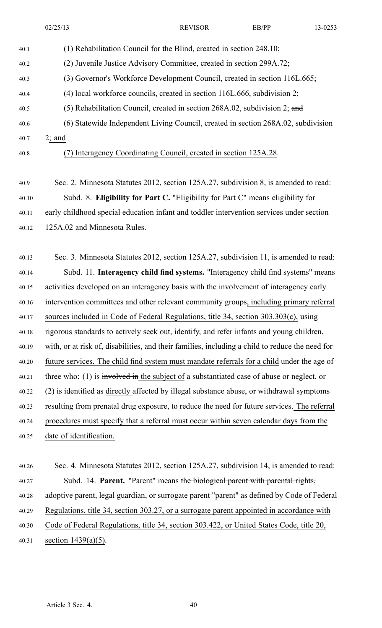- 40.1 (1) Rehabilitation Council for the Blind, created in section 248.10; 40.2 (2) Juvenile Justice Advisory Committee, created in section 299A.72; 40.3 (3) Governor's Workforce Development Council, created in section 116L.665; 40.4 (4) local workforce councils, created in section 116L.666, subdivision 2; 40.5 (5) Rehabilitation Council, created in section 268A.02, subdivision 2; and 40.6 (6) Statewide Independent Living Council, created in section 268A.02, subdivision 40.7 2; and 40.8 (7) Interagency Coordinating Council, created in section 125A.28.
- 40.9 Sec. 2. Minnesota Statutes 2012, section 125A.27, subdivision 8, is amended to read: 40.10 Subd. 8. **Eligibility for Part C.** "Eligibility for Part C" means eligibility for 40.11 early childhood special education infant and toddler intervention services under section 40.12 125A.02 and Minnesota Rules.

40.13 Sec. 3. Minnesota Statutes 2012, section 125A.27, subdivision 11, is amended to read: 40.14 Subd. 11. **Interagency child find systems.** "Interagency child find systems" means 40.15 activities developed on an interagency basis with the involvement of interagency early 40.16 intervention committees and other relevant community groups, including primary referral 40.17 sources included in Code of Federal Regulations, title 34, section 303.303(c), using 40.18 rigorous standards to actively seek out, identify, and refer infants and young children, 40.19 with, or at risk of, disabilities, and their families, including a child to reduce the need for 40.20 future services. The child find system must mandate referrals for <sup>a</sup> child under the age of 40.21 three who: (1) is involved in the subject of a substantiated case of abuse or neglect, or 40.22 (2) is identified as directly affected by illegal substance abuse, or withdrawal symptoms 40.23 resulting from prenatal drug exposure, to reduce the need for future services. The referral 40.24 procedures must specify that <sup>a</sup> referral must occur within seven calendar days from the 40.25 date of identification.

40.26 Sec. 4. Minnesota Statutes 2012, section 125A.27, subdivision 14, is amended to read: 40.27 Subd. 14. **Parent.** "Parent" means the biological paren<sup>t</sup> with parental rights, 40.28 adoptive parent, legal guardian, or surrogate parent "parent" as defined by Code of Federal 40.29 Regulations, title 34, section 303.27, or <sup>a</sup> surrogate paren<sup>t</sup> appointed in accordance with 40.30 Code of Federal Regulations, title 34, section 303.422, or United States Code, title 20, 40.31 section 1439(a)(5).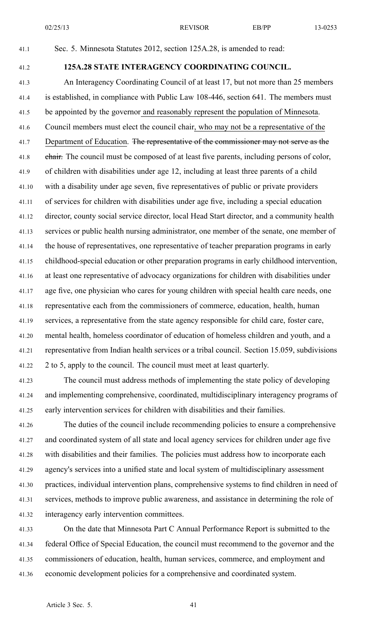02/25/13 REVISOR EB/PP 13-0253

41.1 Sec. 5. Minnesota Statutes 2012, section 125A.28, is amended to read:

# 41.2 **125A.28 STATE INTERAGENCY COORDINATING COUNCIL.**

41.3 An Interagency Coordinating Council of at least 17, but not more than 25 members 41.4 is established, in compliance with Public Law 108-446, section 641. The members must 41.5 be appointed by the governor and reasonably represen<sup>t</sup> the population of Minnesota. 41.6 Council members must elect the council chair, who may not be <sup>a</sup> representative of the 41.7 Department of Education. The representative of the commissioner may not serve as the 41.8 chair. The council must be composed of at least five parents, including persons of color, 41.9 of children with disabilities under age 12, including at least three parents of <sup>a</sup> child 41.10 with <sup>a</sup> disability under age seven, five representatives of public or private providers 41.11 of services for children with disabilities under age five, including <sup>a</sup> special education 41.12 director, county social service director, local Head Start director, and <sup>a</sup> community health 41.13 services or public health nursing administrator, one member of the senate, one member of 41.14 the house of representatives, one representative of teacher preparation programs in early 41.15 childhood-special education or other preparation programs in early childhood intervention, 41.16 at least one representative of advocacy organizations for children with disabilities under 41.17 age five, one physician who cares for young children with special health care needs, one 41.18 representative each from the commissioners of commerce, education, health, human 41.19 services, <sup>a</sup> representative from the state agency responsible for child care, foster care, 41.20 mental health, homeless coordinator of education of homeless children and youth, and <sup>a</sup> 41.21 representative from Indian health services or <sup>a</sup> tribal council. Section 15.059, subdivisions 41.22 2 to 5, apply to the council. The council must meet at least quarterly.

41.23 The council must address methods of implementing the state policy of developing 41.24 and implementing comprehensive, coordinated, multidisciplinary interagency programs of 41.25 early intervention services for children with disabilities and their families.

41.26 The duties of the council include recommending policies to ensure <sup>a</sup> comprehensive 41.27 and coordinated system of all state and local agency services for children under age five 41.28 with disabilities and their families. The policies must address how to incorporate each 41.29 agency's services into <sup>a</sup> unified state and local system of multidisciplinary assessment 41.30 practices, individual intervention plans, comprehensive systems to find children in need of 41.31 services, methods to improve public awareness, and assistance in determining the role of 41.32 interagency early intervention committees.

41.33 On the date that Minnesota Part C Annual Performance Report is submitted to the 41.34 federal Office of Special Education, the council must recommend to the governor and the 41.35 commissioners of education, health, human services, commerce, and employment and 41.36 economic development policies for <sup>a</sup> comprehensive and coordinated system.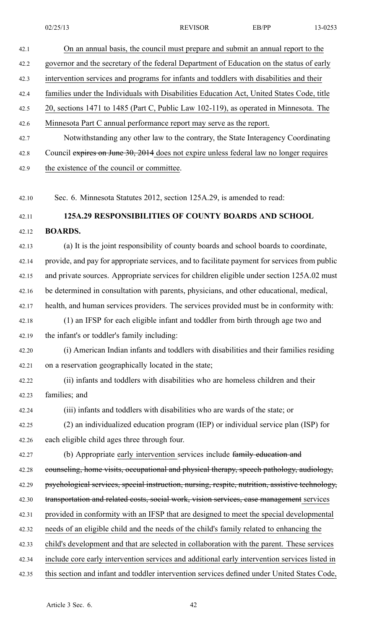| 42.1  | On an annual basis, the council must prepare and submit an annual report to the                 |
|-------|-------------------------------------------------------------------------------------------------|
| 42.2  | governor and the secretary of the federal Department of Education on the status of early        |
| 42.3  | intervention services and programs for infants and toddlers with disabilities and their         |
| 42.4  | families under the Individuals with Disabilities Education Act, United States Code, title       |
| 42.5  | 20, sections 1471 to 1485 (Part C, Public Law 102-119), as operated in Minnesota. The           |
| 42.6  | Minnesota Part C annual performance report may serve as the report.                             |
| 42.7  | Notwithstanding any other law to the contrary, the State Interagency Coordinating               |
| 42.8  | Council expires on June 30, 2014 does not expire unless federal law no longer requires          |
| 42.9  | the existence of the council or committee.                                                      |
| 42.10 | Sec. 6. Minnesota Statutes 2012, section 125A.29, is amended to read:                           |
| 42.11 | 125A.29 RESPONSIBILITIES OF COUNTY BOARDS AND SCHOOL                                            |
| 42.12 | <b>BOARDS.</b>                                                                                  |
| 42.13 | (a) It is the joint responsibility of county boards and school boards to coordinate,            |
| 42.14 | provide, and pay for appropriate services, and to facilitate payment for services from public   |
| 42.15 | and private sources. Appropriate services for children eligible under section 125A.02 must      |
| 42.16 | be determined in consultation with parents, physicians, and other educational, medical,         |
| 42.17 | health, and human services providers. The services provided must be in conformity with:         |
| 42.18 | (1) an IFSP for each eligible infant and toddler from birth through age two and                 |
| 42.19 | the infant's or toddler's family including:                                                     |
| 42.20 | (i) American Indian infants and toddlers with disabilities and their families residing          |
| 42.21 | on a reservation geographically located in the state;                                           |
| 42.22 | (ii) infants and toddlers with disabilities who are homeless children and their                 |
| 42.23 | families; and                                                                                   |
| 42.24 | (iii) infants and toddlers with disabilities who are wards of the state; or                     |
| 42.25 | (2) an individualized education program (IEP) or individual service plan (ISP) for              |
| 42.26 | each eligible child ages three through four.                                                    |
| 42.27 | (b) Appropriate early intervention services include family education and                        |
| 42.28 | counseling, home visits, occupational and physical therapy, speech pathology, audiology,        |
| 42.29 | psychological services, special instruction, nursing, respite, nutrition, assistive technology, |
| 42.30 | transportation and related costs, social work, vision services, case management services        |
| 42.31 | provided in conformity with an IFSP that are designed to meet the special developmental         |
| 42.32 | needs of an eligible child and the needs of the child's family related to enhancing the         |
| 42.33 | child's development and that are selected in collaboration with the parent. These services      |
| 42.34 | include core early intervention services and additional early intervention services listed in   |
| 42.35 | this section and infant and toddler intervention services defined under United States Code,     |
|       |                                                                                                 |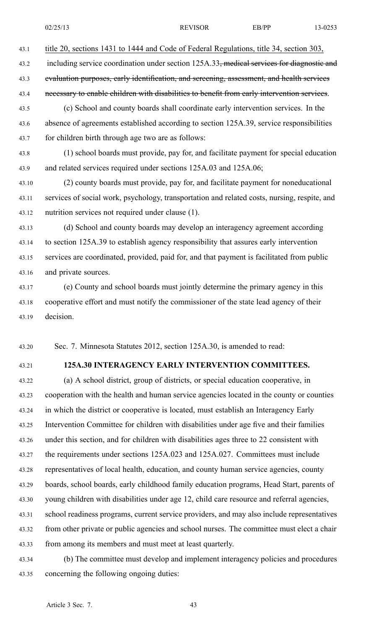43.1 title 20, sections 1431 to 1444 and Code of Federal Regulations, title 34, section 303,

43.2 including service coordination under section 125A.33, medical services for diagnostic and

43.3 evaluation purposes, early identification, and sereening, assessment, and health services

43.4 necessary to enable children with disabilities to benefit from early intervention services.

43.5 (c) School and county boards shall coordinate early intervention services. In the 43.6 absence of agreements established according to section 125A.39, service responsibilities 43.7 for children birth through age two are as follows:

43.8 (1) school boards must provide, pay for, and facilitate paymen<sup>t</sup> for special education 43.9 and related services required under sections 125A.03 and 125A.06;

43.10 (2) county boards must provide, pay for, and facilitate paymen<sup>t</sup> for noneducational 43.11 services of social work, psychology, transportation and related costs, nursing, respite, and 43.12 nutrition services not required under clause (1).

43.13 (d) School and county boards may develop an interagency agreemen<sup>t</sup> according 43.14 to section 125A.39 to establish agency responsibility that assures early intervention 43.15 services are coordinated, provided, paid for, and that paymen<sup>t</sup> is facilitated from public 43.16 and private sources.

43.17 (e) County and school boards must jointly determine the primary agency in this 43.18 cooperative effort and must notify the commissioner of the state lead agency of their 43.19 decision.

43.20 Sec. 7. Minnesota Statutes 2012, section 125A.30, is amended to read:

# 43.21 **125A.30 INTERAGENCY EARLY INTERVENTION COMMITTEES.**

43.22 (a) A school district, group of districts, or special education cooperative, in 43.23 cooperation with the health and human service agencies located in the county or counties 43.24 in which the district or cooperative is located, must establish an Interagency Early 43.25 Intervention Committee for children with disabilities under age five and their families 43.26 under this section, and for children with disabilities ages three to 22 consistent with 43.27 the requirements under sections 125A.023 and 125A.027. Committees must include 43.28 representatives of local health, education, and county human service agencies, county 43.29 boards, school boards, early childhood family education programs, Head Start, parents of 43.30 young children with disabilities under age 12, child care resource and referral agencies, 43.31 school readiness programs, current service providers, and may also include representatives 43.32 from other private or public agencies and school nurses. The committee must elect <sup>a</sup> chair 43.33 from among its members and must meet at least quarterly.

43.34 (b) The committee must develop and implement interagency policies and procedures 43.35 concerning the following ongoing duties: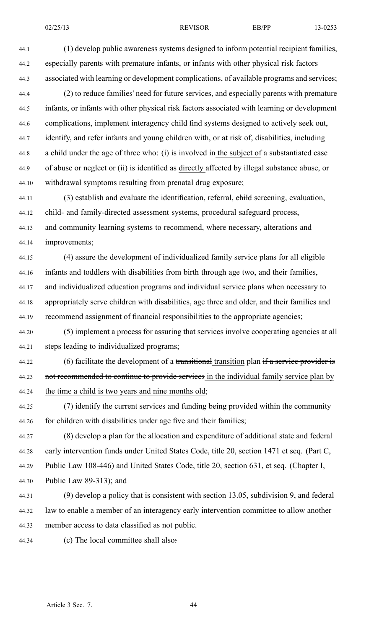44.1 (1) develop public awareness systems designed to inform potential recipient families, 44.2 especially parents with premature infants, or infants with other physical risk factors 44.3 associated with learning or development complications, of available programs and services; 44.4 (2) to reduce families' need for future services, and especially parents with premature

44.5 infants, or infants with other physical risk factors associated with learning or development 44.6 complications, implement interagency child find systems designed to actively seek out, 44.7 identify, and refer infants and young children with, or at risk of, disabilities, including 44.8 a child under the age of three who: (i) is involved in the subject of a substantiated case 44.9 of abuse or neglect or (ii) is identified as directly affected by illegal substance abuse, or 44.10 withdrawal symptoms resulting from prenatal drug exposure;

44.11 (3) establish and evaluate the identification, referral, child screening, evaluation, 44.12 child- and family-directed assessment systems, procedural safeguard process, 44.13 and community learning systems to recommend, where necessary, alterations and 44.14 improvements;

44.15 (4) assure the development of individualized family service plans for all eligible 44.16 infants and toddlers with disabilities from birth through age two, and their families, 44.17 and individualized education programs and individual service plans when necessary to 44.18 appropriately serve children with disabilities, age three and older, and their families and 44.19 recommend assignment of financial responsibilities to the appropriate agencies;

44.20 (5) implement <sup>a</sup> process for assuring that services involve cooperating agencies at all 44.21 steps leading to individualized programs;

44.22 (6) facilitate the development of a transitional transition plan if a service provider is 44.23 not recommended to continue to provide services in the individual family service plan by 44.24 the time <sup>a</sup> child is two years and nine months old;

44.25 (7) identify the current services and funding being provided within the community 44.26 for children with disabilities under age five and their families;

44.27 (8) develop a plan for the allocation and expenditure of additional state and federal 44.28 early intervention funds under United States Code, title 20, section 1471 et seq. (Part C, 44.29 Public Law 108-446) and United States Code, title 20, section 631, et seq. (Chapter I, 44.30 Public Law 89-313); and

44.31 (9) develop <sup>a</sup> policy that is consistent with section 13.05, subdivision 9, and federal 44.32 law to enable <sup>a</sup> member of an interagency early intervention committee to allow another 44.33 member access to data classified as not public.

44.34 (c) The local committee shall also: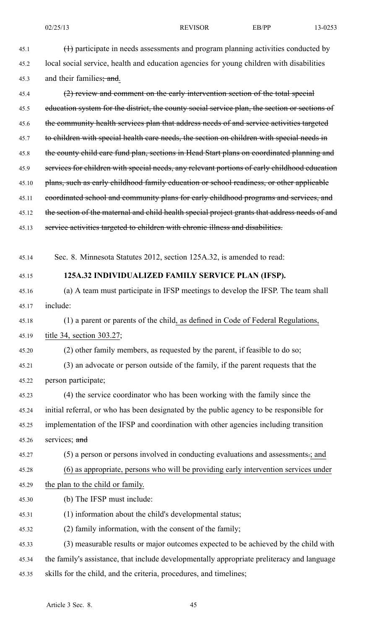45.1 (1) participate in needs assessments and program planning activities conducted by 45.2 local social service, health and education agencies for young children with disabilities 45.3 and their families; and. 45.4 (2) review and comment on the early intervention section of the total special

45.5 education system for the district, the county social service plan, the section or sections of 45.6 the community health services plan that address needs of and service activities targeted 45.7 to children with special health care needs, the section on children with special needs in 45.8 the county child care fund plan, sections in Head Start plans on coordinated planning and 45.9 services for children with special needs, any relevant portions of early childhood education 45.10 plans, such as early childhood family education or school readiness, or other applicable 45.11 coordinated school and community plans for early childhood programs and services, and 45.12 the section of the maternal and child health special project grants that address needs of and 45.13 service activities targeted to children with chronic illness and disabilities.

45.14 Sec. 8. Minnesota Statutes 2012, section 125A.32, is amended to read:

# 45.15 **125A.32 INDIVIDUALIZED FAMILY SERVICE PLAN (IFSP).**

45.16 (a) A team must participate in IFSP meetings to develop the IFSP. The team shall 45.17 include:

45.18 (1) <sup>a</sup> paren<sup>t</sup> or parents of the child, as defined in Code of Federal Regulations, 45.19 title 34, section 303.27;

45.20 (2) other family members, as requested by the parent, if feasible to do so;

45.21 (3) an advocate or person outside of the family, if the paren<sup>t</sup> requests that the 45.22 person participate;

45.23 (4) the service coordinator who has been working with the family since the 45.24 initial referral, or who has been designated by the public agency to be responsible for 45.25 implementation of the IFSP and coordination with other agencies including transition 45.26 services; and

45.27 (5) <sup>a</sup> person or persons involved in conducting evaluations and assessments.; and 45.28 (6) as appropriate, persons who will be providing early intervention services under

- 45.29 the plan to the child or family.
- 45.30 (b) The IFSP must include:
- 45.31 (1) information about the child's developmental status;
- 45.32 (2) family information, with the consent of the family;

45.33 (3) measurable results or major outcomes expected to be achieved by the child with 45.34 the family's assistance, that include developmentally appropriate preliteracy and language 45.35 skills for the child, and the criteria, procedures, and timelines;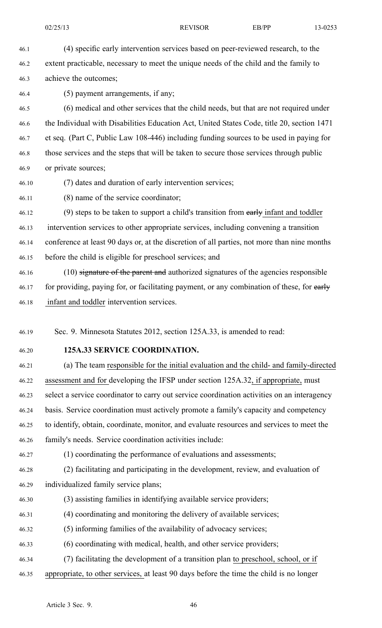46.1 (4) specific early intervention services based on peer-reviewed research, to the 46.2 extent practicable, necessary to meet the unique needs of the child and the family to 46.3 achieve the outcomes;

46.4 (5) paymen<sup>t</sup> arrangements, if any;

46.5 (6) medical and other services that the child needs, but that are not required under 46.6 the Individual with Disabilities Education Act, United States Code, title 20, section 1471 46.7 et seq. (Part C, Public Law 108-446) including funding sources to be used in paying for 46.8 those services and the steps that will be taken to secure those services through public 46.9 or private sources;

46.10 (7) dates and duration of early intervention services;

46.11 (8) name of the service coordinator;

46.12 (9) steps to be taken to support a child's transition from early infant and toddler 46.13 intervention services to other appropriate services, including convening <sup>a</sup> transition 46.14 conference at least 90 days or, at the discretion of all parties, not more than nine months 46.15 before the child is eligible for preschool services; and

46.16 (10) signature of the parent and authorized signatures of the agencies responsible 46.17 for providing, paying for, or facilitating payment, or any combination of these, for early 46.18 infant and toddler intervention services.

46.19 Sec. 9. Minnesota Statutes 2012, section 125A.33, is amended to read:

46.20 **125A.33 SERVICE COORDINATION.**

46.21 (a) The team responsible for the initial evaluation and the child- and family-directed 46.22 assessment and for developing the IFSP under section 125A.32, if appropriate, must 46.23 select <sup>a</sup> service coordinator to carry out service coordination activities on an interagency 46.24 basis. Service coordination must actively promote <sup>a</sup> family's capacity and competency 46.25 to identify, obtain, coordinate, monitor, and evaluate resources and services to meet the 46.26 family's needs. Service coordination activities include:

46.27 (1) coordinating the performance of evaluations and assessments;

46.28 (2) facilitating and participating in the development, review, and evaluation of

- 46.29 individualized family service plans;
- 46.30 (3) assisting families in identifying available service providers;
- 46.31 (4) coordinating and monitoring the delivery of available services;
- 46.32 (5) informing families of the availability of advocacy services;
- 46.33 (6) coordinating with medical, health, and other service providers;
- 46.34 (7) facilitating the development of <sup>a</sup> transition plan to preschool, school, or if 46.35 appropriate, to other services, at least 90 days before the time the child is no longer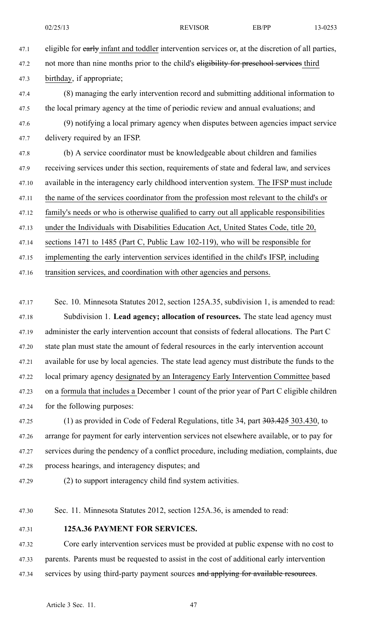47.1 eligible for early infant and toddler intervention services or, at the discretion of all parties, 47.2 not more than nine months prior to the child's eligibility for preschool services third

47.3 birthday, if appropriate;

47.4 (8) managing the early intervention record and submitting additional information to 47.5 the local primary agency at the time of periodic review and annual evaluations; and

47.6 (9) notifying <sup>a</sup> local primary agency when disputes between agencies impact service 47.7 delivery required by an IFSP.

47.8 (b) A service coordinator must be knowledgeable about children and families 47.9 receiving services under this section, requirements of state and federal law, and services 47.10 available in the interagency early childhood intervention system. The IFSP must include 47.11 the name of the services coordinator from the profession most relevant to the child's or 47.12 family's needs or who is otherwise qualified to carry out all applicable responsibilities 47.13 under the Individuals with Disabilities Education Act, United States Code, title 20, 47.14 sections 1471 to 1485 (Part C, Public Law 102-119), who will be responsible for 47.15 implementing the early intervention services identified in the child's IFSP, including

47.16 transition services, and coordination with other agencies and persons.

47.17 Sec. 10. Minnesota Statutes 2012, section 125A.35, subdivision 1, is amended to read: 47.18 Subdivision 1. **Lead agency; allocation of resources.** The state lead agency must 47.19 administer the early intervention account that consists of federal allocations. The Part C 47.20 state plan must state the amount of federal resources in the early intervention account 47.21 available for use by local agencies. The state lead agency must distribute the funds to the 47.22 local primary agency designated by an Interagency Early Intervention Committee based 47.23 on <sup>a</sup> formula that includes <sup>a</sup> December 1 count of the prior year of Part C eligible children 47.24 for the following purposes:

47.25 (1) as provided in Code of Federal Regulations, title 34, part 303.425 303.430, to 47.26 arrange for paymen<sup>t</sup> for early intervention services not elsewhere available, or to pay for 47.27 services during the pendency of <sup>a</sup> conflict procedure, including mediation, complaints, due 47.28 process hearings, and interagency disputes; and

47.29 (2) to suppor<sup>t</sup> interagency child find system activities.

47.30 Sec. 11. Minnesota Statutes 2012, section 125A.36, is amended to read:

47.31 **125A.36 PAYMENT FOR SERVICES.**

47.32 Core early intervention services must be provided at public expense with no cost to 47.33 parents. Parents must be requested to assist in the cost of additional early intervention 47.34 services by using third-party payment sources and applying for available resources.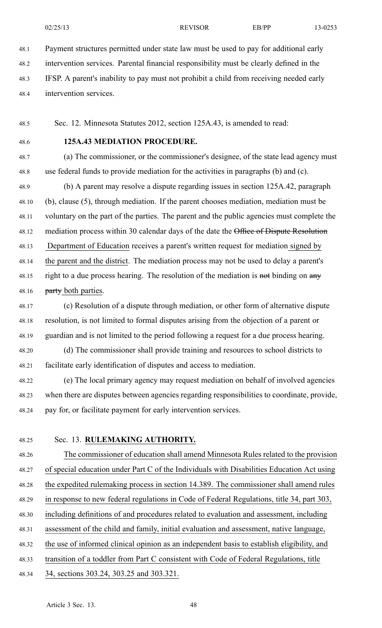48.1 Payment structures permitted under state law must be used to pay for additional early 48.2 intervention services. Parental financial responsibility must be clearly defined in the

- 48.3 IFSP. Aparent's inability to pay must not prohibit <sup>a</sup> child from receiving needed early
- 48.4 intervention services.

48.5 Sec. 12. Minnesota Statutes 2012, section 125A.43, is amended to read:

48.6 **125A.43 MEDIATION PROCEDURE.**

48.7 (a) The commissioner, or the commissioner's designee, of the state lead agency must 48.8 use federal funds to provide mediation for the activities in paragraphs (b) and (c).

48.9 (b) A paren<sup>t</sup> may resolve <sup>a</sup> dispute regarding issues in section 125A.42, paragraph 48.10 (b), clause (5), through mediation. If the paren<sup>t</sup> chooses mediation, mediation must be 48.11 voluntary on the par<sup>t</sup> of the parties. The paren<sup>t</sup> and the public agencies must complete the 48.12 mediation process within 30 calendar days of the date the Office of Dispute Resolution 48.13 Department of Education receives <sup>a</sup> parent's written reques<sup>t</sup> for mediation signed by 48.14 the paren<sup>t</sup> and the district. The mediation process may not be used to delay <sup>a</sup> parent's 48.15 right to a due process hearing. The resolution of the mediation is not binding on any 48.16 **party both parties.** 

48.17 (c) Resolution of <sup>a</sup> dispute through mediation, or other form of alternative dispute 48.18 resolution, is not limited to formal disputes arising from the objection of <sup>a</sup> paren<sup>t</sup> or 48.19 guardian and is not limited to the period following <sup>a</sup> reques<sup>t</sup> for <sup>a</sup> due process hearing. 48.20 (d) The commissioner shall provide training and resources to school districts to 48.21 facilitate early identification of disputes and access to mediation.

48.22 (e) The local primary agency may reques<sup>t</sup> mediation on behalf of involved agencies 48.23 when there are disputes between agencies regarding responsibilities to coordinate, provide, 48.24 pay for, or facilitate paymen<sup>t</sup> for early intervention services.

48.25 Sec. 13. **RULEMAKING AUTHORITY.** 48.26 The commissioner of education shall amend Minnesota Rules related to the provision 48.27 of special education under Part C of the Individuals with Disabilities Education Act using 48.28 the expedited rulemaking process in section 14.389. The commissioner shall amend rules 48.29 in response to new federal regulations in Code of Federal Regulations, title 34, par<sup>t</sup> 303, 48.30 including definitions of and procedures related to evaluation and assessment, including 48.31 assessment of the child and family, initial evaluation and assessment, native language, 48.32 the use of informed clinical opinion as an independent basis to establish eligibility, and 48.33 transition of <sup>a</sup> toddler from Part C consistent with Code of Federal Regulations, title 48.34 34, sections 303.24, 303.25 and 303.321.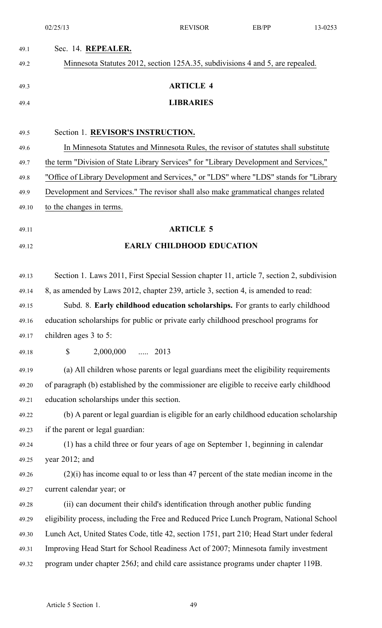|       | 02/25/13                                                                                  | <b>REVISOR</b>                   | EB/PP | 13-0253 |
|-------|-------------------------------------------------------------------------------------------|----------------------------------|-------|---------|
| 49.1  | Sec. 14. REPEALER.                                                                        |                                  |       |         |
| 49.2  | Minnesota Statutes 2012, section 125A.35, subdivisions 4 and 5, are repealed.             |                                  |       |         |
| 49.3  |                                                                                           | <b>ARTICLE 4</b>                 |       |         |
| 49.4  |                                                                                           | <b>LIBRARIES</b>                 |       |         |
|       |                                                                                           |                                  |       |         |
| 49.5  | Section 1. REVISOR'S INSTRUCTION.                                                         |                                  |       |         |
| 49.6  | In Minnesota Statutes and Minnesota Rules, the revisor of statutes shall substitute       |                                  |       |         |
| 49.7  | the term "Division of State Library Services" for "Library Development and Services,"     |                                  |       |         |
| 49.8  | "Office of Library Development and Services," or "LDS" where "LDS" stands for "Library    |                                  |       |         |
| 49.9  | Development and Services." The revisor shall also make grammatical changes related        |                                  |       |         |
| 49.10 | to the changes in terms.                                                                  |                                  |       |         |
| 49.11 |                                                                                           | <b>ARTICLE 5</b>                 |       |         |
| 49.12 |                                                                                           | <b>EARLY CHILDHOOD EDUCATION</b> |       |         |
|       |                                                                                           |                                  |       |         |
| 49.13 | Section 1. Laws 2011, First Special Session chapter 11, article 7, section 2, subdivision |                                  |       |         |
| 49.14 | 8, as amended by Laws 2012, chapter 239, article 3, section 4, is amended to read:        |                                  |       |         |
| 49.15 | Subd. 8. Early childhood education scholarships. For grants to early childhood            |                                  |       |         |
| 49.16 | education scholarships for public or private early childhood preschool programs for       |                                  |       |         |
| 49.17 | children ages 3 to 5:                                                                     |                                  |       |         |
| 49.18 | \$<br>2,000,000  2013                                                                     |                                  |       |         |
| 49.19 | (a) All children whose parents or legal guardians meet the eligibility requirements       |                                  |       |         |
| 49.20 | of paragraph (b) established by the commissioner are eligible to receive early childhood  |                                  |       |         |
| 49.21 | education scholarships under this section.                                                |                                  |       |         |
| 49.22 | (b) A parent or legal guardian is eligible for an early childhood education scholarship   |                                  |       |         |
| 49.23 | if the parent or legal guardian:                                                          |                                  |       |         |
| 49.24 | (1) has a child three or four years of age on September 1, beginning in calendar          |                                  |       |         |
| 49.25 | year $2012$ ; and                                                                         |                                  |       |         |
| 49.26 | $(2)(i)$ has income equal to or less than 47 percent of the state median income in the    |                                  |       |         |
| 49.27 | current calendar year; or                                                                 |                                  |       |         |
| 49.28 | (ii) can document their child's identification through another public funding             |                                  |       |         |
| 49.29 | eligibility process, including the Free and Reduced Price Lunch Program, National School  |                                  |       |         |
| 49.30 | Lunch Act, United States Code, title 42, section 1751, part 210; Head Start under federal |                                  |       |         |
| 49.31 | Improving Head Start for School Readiness Act of 2007; Minnesota family investment        |                                  |       |         |
| 49.32 | program under chapter 256J; and child care assistance programs under chapter 119B.        |                                  |       |         |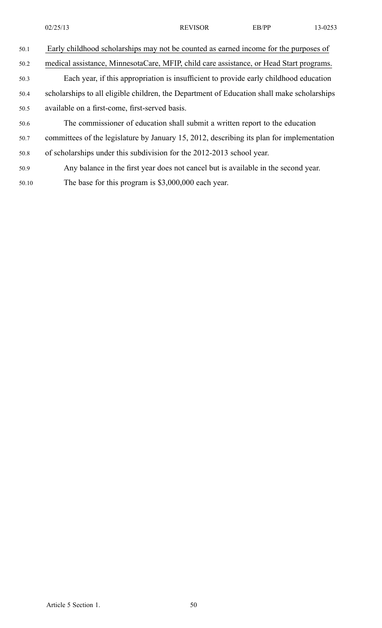|       | 02/25/13                                                                                   | <b>REVISOR</b> | EB/PP | 13-0253 |
|-------|--------------------------------------------------------------------------------------------|----------------|-------|---------|
| 50.1  | Early childhood scholarships may not be counted as earned income for the purposes of       |                |       |         |
| 50.2  | medical assistance, MinnesotaCare, MFIP, child care assistance, or Head Start programs.    |                |       |         |
| 50.3  | Each year, if this appropriation is insufficient to provide early childhood education      |                |       |         |
| 50.4  | scholarships to all eligible children, the Department of Education shall make scholarships |                |       |         |
| 50.5  | available on a first-come, first-served basis.                                             |                |       |         |
| 50.6  | The commissioner of education shall submit a written report to the education               |                |       |         |
| 50.7  | committees of the legislature by January 15, 2012, describing its plan for implementation  |                |       |         |
| 50.8  | of scholarships under this subdivision for the 2012-2013 school year.                      |                |       |         |
| 50.9  | Any balance in the first year does not cancel but is available in the second year.         |                |       |         |
| 50.10 | The base for this program is $$3,000,000$ each year.                                       |                |       |         |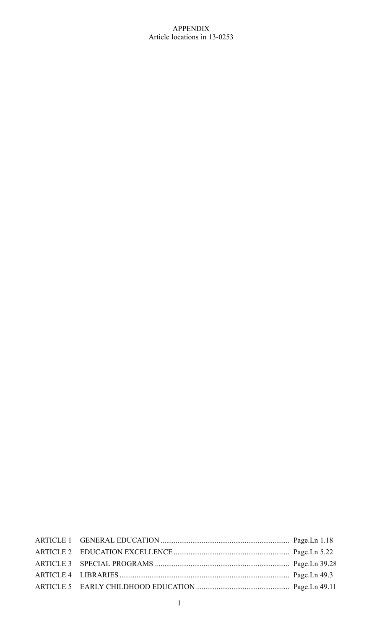# APPENDIX Article locations in 13-0253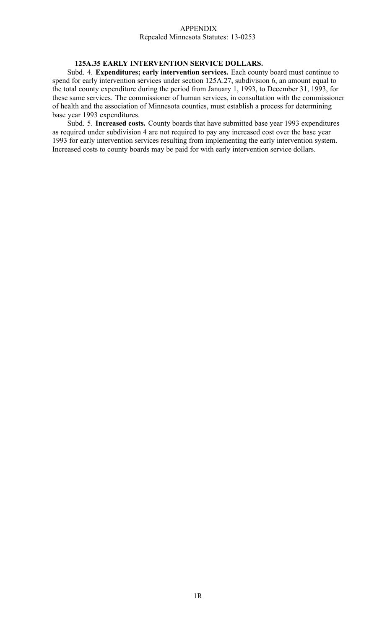#### APPENDIX Repealed Minnesota Statutes: 13-0253

# **125A.35 EARLY INTERVENTION SERVICE DOLLARS.**

Subd. 4. **Expenditures; early intervention services.** Each county board must continue to spend for early intervention services under section 125A.27, subdivision 6, an amount equal to the total county expenditure during the period from January 1, 1993, to December 31, 1993, for these same services. The commissioner of human services, in consultation with the commissioner of health and the association of Minnesota counties, must establish <sup>a</sup> process for determining base year 1993 expenditures.

Subd. 5. **Increased costs.** County boards that have submitted base year 1993 expenditures as required under subdivision 4 are not required to pay any increased cost over the base year 1993 for early intervention services resulting from implementing the early intervention system. Increased costs to county boards may be paid for with early intervention service dollars.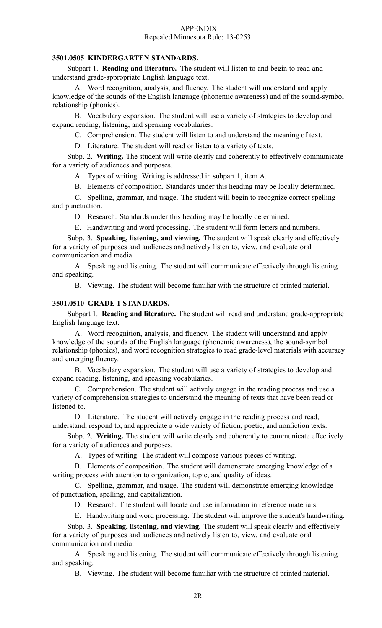#### APPENDIX Repealed Minnesota Rule: 13-0253

# **3501.0505 KINDERGARTEN STANDARDS.**

Subpart 1. **Reading and literature.** The student will listen to and begin to read and understand grade-appropriate English language text.

A. Word recognition, analysis, and fluency. The student will understand and apply knowledge of the sounds of the English language (phonemic awareness) and of the sound-symbol relationship (phonics).

B. Vocabulary expansion. The student will use <sup>a</sup> variety of strategies to develop and expand reading, listening, and speaking vocabularies.

C. Comprehension. The student will listen to and understand the meaning of text.

D. Literature. The student will read or listen to <sup>a</sup> variety of texts.

Subp. 2. **Writing.** The student will write clearly and coherently to effectively communicate for <sup>a</sup> variety of audiences and purposes.

A. Types of writing. Writing is addressed in subpart 1, item A.

B. Elements of composition. Standards under this heading may be locally determined.

C. Spelling, grammar, and usage. The student will begin to recognize correct spelling and punctuation.

D. Research. Standards under this heading may be locally determined.

E. Handwriting and word processing. The student will form letters and numbers.

Subp. 3. **Speaking, listening, and viewing.** The student will speak clearly and effectively for <sup>a</sup> variety of purposes and audiences and actively listen to, view, and evaluate oral communication and media.

A. Speaking and listening. The student will communicate effectively through listening and speaking.

B. Viewing. The student will become familiar with the structure of printed material.

# **3501.0510 GRADE 1 STANDARDS.**

Subpart 1. **Reading and literature.** The student will read and understand grade-appropriate English language text.

A. Word recognition, analysis, and fluency. The student will understand and apply knowledge of the sounds of the English language (phonemic awareness), the sound-symbol relationship (phonics), and word recognition strategies to read grade-level materials with accuracy and emerging fluency.

B. Vocabulary expansion. The student will use <sup>a</sup> variety of strategies to develop and expand reading, listening, and speaking vocabularies.

C. Comprehension. The student will actively engage in the reading process and use <sup>a</sup> variety of comprehension strategies to understand the meaning of texts that have been read or listened to.

D. Literature. The student will actively engage in the reading process and read, understand, respond to, and appreciate <sup>a</sup> wide variety of fiction, poetic, and nonfiction texts.

Subp. 2. **Writing.** The student will write clearly and coherently to communicate effectively for <sup>a</sup> variety of audiences and purposes.

A. Types of writing. The student will compose various pieces of writing.

B. Elements of composition. The student will demonstrate emerging knowledge of <sup>a</sup> writing process with attention to organization, topic, and quality of ideas.

C. Spelling, grammar, and usage. The student will demonstrate emerging knowledge of punctuation, spelling, and capitalization.

D. Research. The student will locate and use information in reference materials.

E. Handwriting and word processing. The student will improve the student's handwriting.

Subp. 3. **Speaking, listening, and viewing.** The student will speak clearly and effectively for <sup>a</sup> variety of purposes and audiences and actively listen to, view, and evaluate oral communication and media.

A. Speaking and listening. The student will communicate effectively through listening and speaking.

B. Viewing. The student will become familiar with the structure of printed material.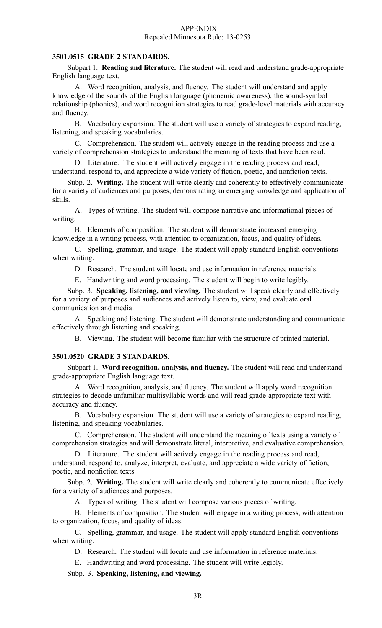#### APPENDIX Repealed Minnesota Rule: 13-0253

# **3501.0515 GRADE 2 STANDARDS.**

Subpart 1. **Reading and literature.** The student will read and understand grade-appropriate English language text.

A. Word recognition, analysis, and fluency. The student will understand and apply knowledge of the sounds of the English language (phonemic awareness), the sound-symbol relationship (phonics), and word recognition strategies to read grade-level materials with accuracy and fluency.

B. Vocabulary expansion. The student will use <sup>a</sup> variety of strategies to expand reading, listening, and speaking vocabularies.

C. Comprehension. The student will actively engage in the reading process and use <sup>a</sup> variety of comprehension strategies to understand the meaning of texts that have been read.

D. Literature. The student will actively engage in the reading process and read, understand, respond to, and appreciate <sup>a</sup> wide variety of fiction, poetic, and nonfiction texts.

Subp. 2. **Writing.** The student will write clearly and coherently to effectively communicate for <sup>a</sup> variety of audiences and purposes, demonstrating an emerging knowledge and application of skills.

A. Types of writing. The student will compose narrative and informational pieces of writing.

B. Elements of composition. The student will demonstrate increased emerging knowledge in <sup>a</sup> writing process, with attention to organization, focus, and quality of ideas.

C. Spelling, grammar, and usage. The student will apply standard English conventions when writing.

D. Research. The student will locate and use information in reference materials.

E. Handwriting and word processing. The student will begin to write legibly.

Subp. 3. **Speaking, listening, and viewing.** The student will speak clearly and effectively for <sup>a</sup> variety of purposes and audiences and actively listen to, view, and evaluate oral communication and media.

A. Speaking and listening. The student will demonstrate understanding and communicate effectively through listening and speaking.

B. Viewing. The student will become familiar with the structure of printed material.

## **3501.0520 GRADE 3 STANDARDS.**

Subpart 1. **Word recognition, analysis, and fluency.** The student will read and understand grade-appropriate English language text.

A. Word recognition, analysis, and fluency. The student will apply word recognition strategies to decode unfamiliar multisyllabic words and will read grade-appropriate text with accuracy and fluency.

B. Vocabulary expansion. The student will use <sup>a</sup> variety of strategies to expand reading, listening, and speaking vocabularies.

C. Comprehension. The student will understand the meaning of texts using <sup>a</sup> variety of comprehension strategies and will demonstrate literal, interpretive, and evaluative comprehension.

D. Literature. The student will actively engage in the reading process and read, understand, respond to, analyze, interpret, evaluate, and appreciate <sup>a</sup> wide variety of fiction, poetic, and nonfiction texts.

Subp. 2. **Writing.** The student will write clearly and coherently to communicate effectively for <sup>a</sup> variety of audiences and purposes.

A. Types of writing. The student will compose various pieces of writing.

B. Elements of composition. The student will engage in <sup>a</sup> writing process, with attention to organization, focus, and quality of ideas.

C. Spelling, grammar, and usage. The student will apply standard English conventions when writing.

D. Research. The student will locate and use information in reference materials.

E. Handwriting and word processing. The student will write legibly.

Subp. 3. **Speaking, listening, and viewing.**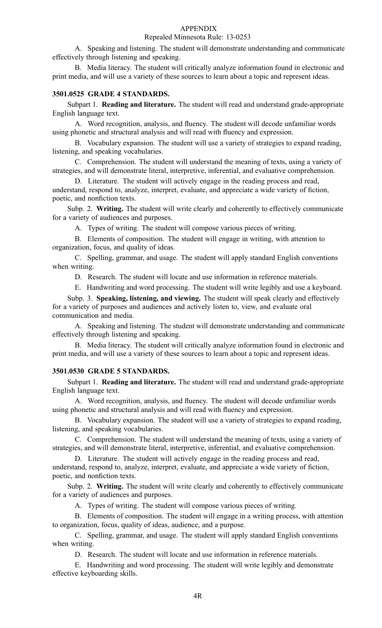## Repealed Minnesota Rule: 13-0253

A. Speaking and listening. The student will demonstrate understanding and communicate effectively through listening and speaking.

B. Media literacy. The student will critically analyze information found in electronic and print media, and will use <sup>a</sup> variety of these sources to learn about <sup>a</sup> topic and represen<sup>t</sup> ideas.

#### **3501.0525 GRADE 4 STANDARDS.**

Subpart 1. **Reading and literature.** The student will read and understand grade-appropriate English language text.

A. Word recognition, analysis, and fluency. The student will decode unfamiliar words using phonetic and structural analysis and will read with fluency and expression.

B. Vocabulary expansion. The student will use <sup>a</sup> variety of strategies to expand reading, listening, and speaking vocabularies.

C. Comprehension. The student will understand the meaning of texts, using <sup>a</sup> variety of strategies, and will demonstrate literal, interpretive, inferential, and evaluative comprehension.

D. Literature. The student will actively engage in the reading process and read, understand, respond to, analyze, interpret, evaluate, and appreciate <sup>a</sup> wide variety of fiction, poetic, and nonfiction texts.

Subp. 2. **Writing.** The student will write clearly and coherently to effectively communicate for <sup>a</sup> variety of audiences and purposes.

A. Types of writing. The student will compose various pieces of writing.

B. Elements of composition. The student will engage in writing, with attention to organization, focus, and quality of ideas.

C. Spelling, grammar, and usage. The student will apply standard English conventions when writing.

D. Research. The student will locate and use information in reference materials.

E. Handwriting and word processing. The student will write legibly and use <sup>a</sup> keyboard.

Subp. 3. **Speaking, listening, and viewing.** The student will speak clearly and effectively for <sup>a</sup> variety of purposes and audiences and actively listen to, view, and evaluate oral communication and media.

A. Speaking and listening. The student will demonstrate understanding and communicate effectively through listening and speaking.

B. Media literacy. The student will critically analyze information found in electronic and print media, and will use <sup>a</sup> variety of these sources to learn about <sup>a</sup> topic and represen<sup>t</sup> ideas.

# **3501.0530 GRADE 5 STANDARDS.**

Subpart 1. **Reading and literature.** The student will read and understand grade-appropriate English language text.

A. Word recognition, analysis, and fluency. The student will decode unfamiliar words using phonetic and structural analysis and will read with fluency and expression.

B. Vocabulary expansion. The student will use <sup>a</sup> variety of strategies to expand reading, listening, and speaking vocabularies.

C. Comprehension. The student will understand the meaning of texts, using <sup>a</sup> variety of strategies, and will demonstrate literal, interpretive, inferential, and evaluative comprehension.

D. Literature. The student will actively engage in the reading process and read, understand, respond to, analyze, interpret, evaluate, and appreciate <sup>a</sup> wide variety of fiction, poetic, and nonfiction texts.

Subp. 2. **Writing.** The student will write clearly and coherently to effectively communicate for <sup>a</sup> variety of audiences and purposes.

A. Types of writing. The student will compose various pieces of writing.

B. Elements of composition. The student will engage in <sup>a</sup> writing process, with attention to organization, focus, quality of ideas, audience, and <sup>a</sup> purpose.

C. Spelling, grammar, and usage. The student will apply standard English conventions when writing.

D. Research. The student will locate and use information in reference materials.

E. Handwriting and word processing. The student will write legibly and demonstrate effective keyboarding skills.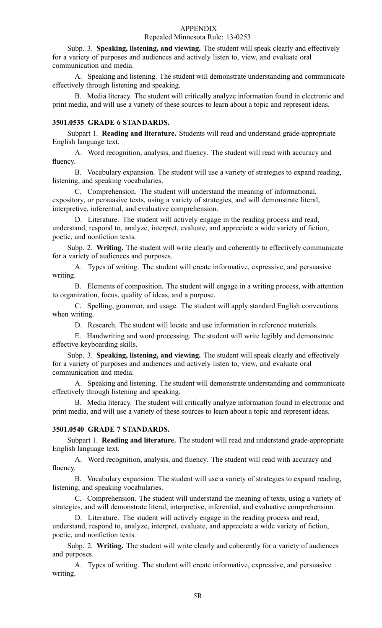#### Repealed Minnesota Rule: 13-0253

Subp. 3. **Speaking, listening, and viewing.** The student will speak clearly and effectively for <sup>a</sup> variety of purposes and audiences and actively listen to, view, and evaluate oral communication and media.

A. Speaking and listening. The student will demonstrate understanding and communicate effectively through listening and speaking.

B. Media literacy. The student will critically analyze information found in electronic and print media, and will use <sup>a</sup> variety of these sources to learn about <sup>a</sup> topic and represen<sup>t</sup> ideas.

#### **3501.0535 GRADE 6 STANDARDS.**

Subpart 1. **Reading and literature.** Students will read and understand grade-appropriate English language text.

A. Word recognition, analysis, and fluency. The student will read with accuracy and fluency.

B. Vocabulary expansion. The student will use <sup>a</sup> variety of strategies to expand reading, listening, and speaking vocabularies.

C. Comprehension. The student will understand the meaning of informational, expository, or persuasive texts, using <sup>a</sup> variety of strategies, and will demonstrate literal, interpretive, inferential, and evaluative comprehension.

D. Literature. The student will actively engage in the reading process and read, understand, respond to, analyze, interpret, evaluate, and appreciate <sup>a</sup> wide variety of fiction, poetic, and nonfiction texts.

Subp. 2. **Writing.** The student will write clearly and coherently to effectively communicate for <sup>a</sup> variety of audiences and purposes.

A. Types of writing. The student will create informative, expressive, and persuasive writing.

B. Elements of composition. The student will engage in <sup>a</sup> writing process, with attention to organization, focus, quality of ideas, and <sup>a</sup> purpose.

C. Spelling, grammar, and usage. The student will apply standard English conventions when writing.

D. Research. The student will locate and use information in reference materials.

E. Handwriting and word processing. The student will write legibly and demonstrate effective keyboarding skills.

Subp. 3. **Speaking, listening, and viewing.** The student will speak clearly and effectively for <sup>a</sup> variety of purposes and audiences and actively listen to, view, and evaluate oral communication and media.

A. Speaking and listening. The student will demonstrate understanding and communicate effectively through listening and speaking.

B. Media literacy. The student will critically analyze information found in electronic and print media, and will use <sup>a</sup> variety of these sources to learn about <sup>a</sup> topic and represen<sup>t</sup> ideas.

# **3501.0540 GRADE 7 STANDARDS.**

Subpart 1. **Reading and literature.** The student will read and understand grade-appropriate English language text.

A. Word recognition, analysis, and fluency. The student will read with accuracy and fluency.

B. Vocabulary expansion. The student will use <sup>a</sup> variety of strategies to expand reading, listening, and speaking vocabularies.

C. Comprehension. The student will understand the meaning of texts, using <sup>a</sup> variety of strategies, and will demonstrate literal, interpretive, inferential, and evaluative comprehension.

D. Literature. The student will actively engage in the reading process and read, understand, respond to, analyze, interpret, evaluate, and appreciate <sup>a</sup> wide variety of fiction, poetic, and nonfiction texts.

Subp. 2. **Writing.** The student will write clearly and coherently for <sup>a</sup> variety of audiences and purposes.

A. Types of writing. The student will create informative, expressive, and persuasive writing.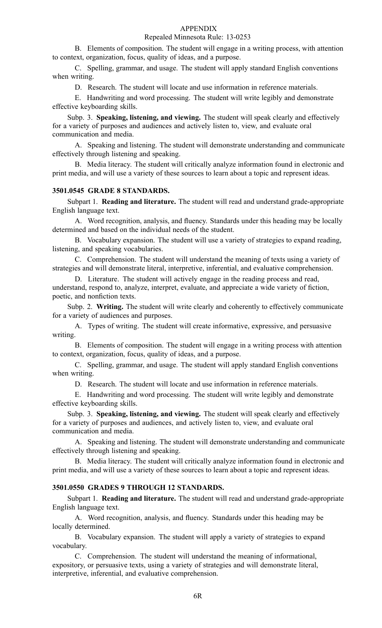## Repealed Minnesota Rule: 13-0253

B. Elements of composition. The student will engage in <sup>a</sup> writing process, with attention to context, organization, focus, quality of ideas, and <sup>a</sup> purpose.

C. Spelling, grammar, and usage. The student will apply standard English conventions when writing.

D. Research. The student will locate and use information in reference materials.

E. Handwriting and word processing. The student will write legibly and demonstrate effective keyboarding skills.

Subp. 3. **Speaking, listening, and viewing.** The student will speak clearly and effectively for <sup>a</sup> variety of purposes and audiences and actively listen to, view, and evaluate oral communication and media.

A. Speaking and listening. The student will demonstrate understanding and communicate effectively through listening and speaking.

B. Media literacy. The student will critically analyze information found in electronic and print media, and will use <sup>a</sup> variety of these sources to learn about <sup>a</sup> topic and represen<sup>t</sup> ideas.

# **3501.0545 GRADE 8 STANDARDS.**

Subpart 1. **Reading and literature.** The student will read and understand grade-appropriate English language text.

A. Word recognition, analysis, and fluency. Standards under this heading may be locally determined and based on the individual needs of the student.

B. Vocabulary expansion. The student will use <sup>a</sup> variety of strategies to expand reading, listening, and speaking vocabularies.

C. Comprehension. The student will understand the meaning of texts using <sup>a</sup> variety of strategies and will demonstrate literal, interpretive, inferential, and evaluative comprehension.

D. Literature. The student will actively engage in the reading process and read, understand, respond to, analyze, interpret, evaluate, and appreciate <sup>a</sup> wide variety of fiction, poetic, and nonfiction texts.

Subp. 2. **Writing.** The student will write clearly and coherently to effectively communicate for <sup>a</sup> variety of audiences and purposes.

A. Types of writing. The student will create informative, expressive, and persuasive writing.

B. Elements of composition. The student will engage in <sup>a</sup> writing process with attention to context, organization, focus, quality of ideas, and <sup>a</sup> purpose.

C. Spelling, grammar, and usage. The student will apply standard English conventions when writing.

D. Research. The student will locate and use information in reference materials.

E. Handwriting and word processing. The student will write legibly and demonstrate effective keyboarding skills.

Subp. 3. **Speaking, listening, and viewing.** The student will speak clearly and effectively for <sup>a</sup> variety of purposes and audiences, and actively listen to, view, and evaluate oral communication and media.

A. Speaking and listening. The student will demonstrate understanding and communicate effectively through listening and speaking.

B. Media literacy. The student will critically analyze information found in electronic and print media, and will use <sup>a</sup> variety of these sources to learn about <sup>a</sup> topic and represen<sup>t</sup> ideas.

# **3501.0550 GRADES 9 THROUGH 12 STANDARDS.**

Subpart 1. **Reading and literature.** The student will read and understand grade-appropriate English language text.

A. Word recognition, analysis, and fluency. Standards under this heading may be locally determined.

B. Vocabulary expansion. The student will apply <sup>a</sup> variety of strategies to expand vocabulary.

C. Comprehension. The student will understand the meaning of informational, expository, or persuasive texts, using <sup>a</sup> variety of strategies and will demonstrate literal, interpretive, inferential, and evaluative comprehension.